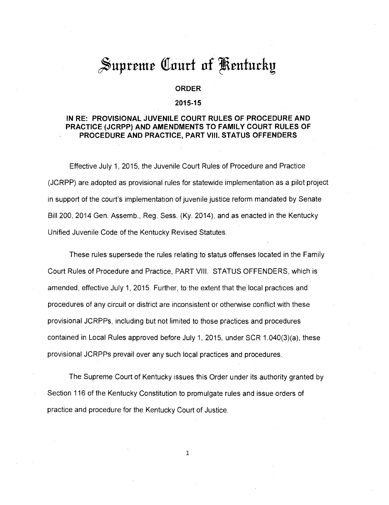# Supreme Court of Kentucky

# **ORDER**

#### **2015-15**

# **IN RE: PROVISIONAL JUVENILE COURT RULES OF PROCEDURE AND PRACTICE (JCRPP) AND AMENDMENTS TO FAMILY COURT RULES OF PROCEDURE AND PRACTICE, PART VIII. STATUS OFFENDERS**

Effective July 1, 2015, the Juvenile Court Rules of Procedure and Practice (JCRPP) are adopted as provisional rules for statewide implementation as a pilot project in support of the court's implementation of juvenile justice reform mandated by Senate Bill 200, 2014 Gen. Assemb., Reg. Sess. (Ky. 2014), and as enacted in the Kentucky Unified Juvenile Code of the Kentucky Revised Statutes.

These rules supersede the rules relating to status offenses located in the Family Court Rules of Procedure and Practice, PART VIII. STATUS OFFENDERS, which is amended, effective July 1, 2015. Further, to the extent that the local practices and procedures of any circuit or district are inconsistent or otherwise conflict with these provisional JCRPPs, including but not limited to those practices and procedures contained in Local Rules approved before July 1, 2015, under SCR 1.040(3)(a), these provisional JCRPPs prevail over any such local practices and procedures.

The Supreme Court of Kentucky issues this Order under its authority granted by Section 116 of the Kentucky Constitution to promulgate rules and issue orders of practice and procedure for the Kentucky Court of Justice.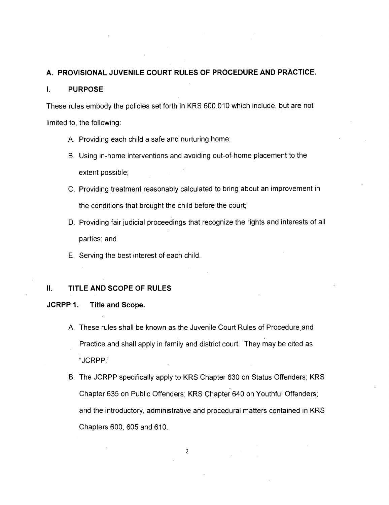# **A. PROVISIONAL JUVENILE COURT RULES OF PROCEDURE AND PRACTICE.**

#### **I. PURPOSE**

These rules embody the policies set forth in KRS 600.010 which include, but are not limited to, the following:

- A. Providing each child a safe and nurturing home;
- B. Using in-home interventions and avoiding out-of-home placement to the extent possible;
- C. Providing treatment reasonably calculated to bring about an improvement in the conditions that brought the child before the court;
- D. Providing fair judicial proceedings that recognize the rights and interests of all parties; and
- E. Serving the best interest of each child.

# **II. TITLE AND SCOPE OF RULES**

# **JCRPP 1. Title and Scope.**

- A. These rules shall be known as the Juvenile Court Rules of Procedure and Practice and shall apply in family and district court. They may be cited as "JCRPP."
- B. The JCRPP specifically apply to KRS Chapter 630 on Status Offenders; KRS Chapter 635 on Public Offenders; KRS Chapter 640 on Youthful Offenders; and the introductory, administrative and procedural matters contained in KRS Chapters 600, 605 and 610.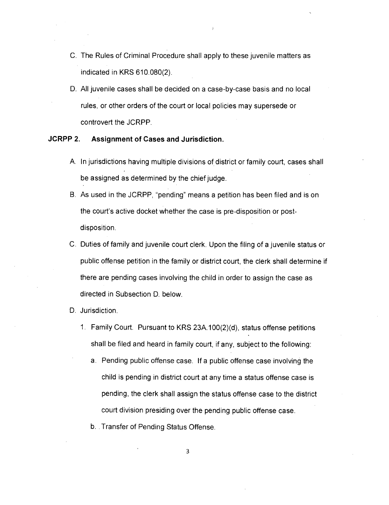- C. The Rules of Criminal Procedure shall apply to these juvenile matters as indicated in KRS 610.080(2).
- D. All juvenile cases shall be decided on a case-by-case basis and no local rules, or other orders of the court or local policies may supersede or controvert the JCRPP.

# **JCRPP 2. Assignment of Cases and Jurisdiction.**

- A. In jurisdictions having multiple divisions of district or family court, cases shall be assigned as determined by the chief judge.
- B. As used in the JCRPP, "pending" means a petition has been filed and is on the court's active docket whether the case is pre-disposition or postdisposition.
- C. Duties of family and juvenile court clerk. Upon the filing of a juvenile status or public offense petition in the family or district court, the clerk shall determine if there are pending cases involving the child in order to assign the case as directed in Subsection D. below.
- D. Jurisdiction.
	- 1. Family Court. Pursuant to KRS 23A.100(2)(d), status offense petitions shall be filed and heard in family court, if any, subject to the following:
		- a. Pending public offense case. If a public offense case involving the child is pending in district court at any time a status offense case is pending, the clerk shall assign the status offense case to the district court division presiding over the pending public offense case.
		- b. Transfer of Pending Status Offense.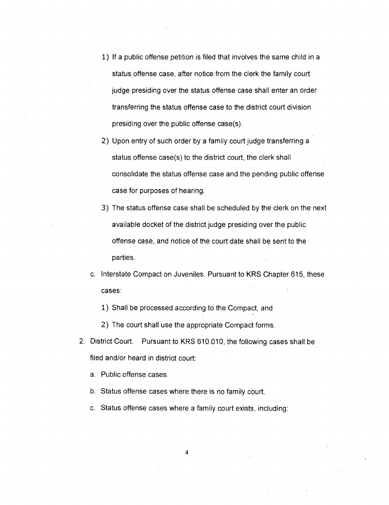- 1) If a public offense petition is filed that involves the same child in a status offense case, after notice from the clerk the family court judge presiding over the status offense case shall enter an order transferring the status offense case to the district court division presiding over the public offense case(s).
- 2) Upon entry of such order by a family court judge transferring a status offense case(s) to the district court, the clerk shall consolidate the status offense case and the pending public offense case for purposes of hearing.
- 3) The status offense case shall be scheduled by the clerk on the next available docket of the district judge presiding over the public offense case, and notice of the court date shall be sent to the parties.
- c. Interstate Compact on Juveniles. Pursuant to KRS Chapter 615, these cases:
	- 1) Shall be processed according to the Compact, and
	- 2) The court shall use the appropriate Compact forms.
- 2. District Court. Pursuant to KRS 610.010, the following cases shall be filed and/or heard in district court:
	- a. Public offense cases.
	- b. Status offense cases where there is no family court.
	- c. Status offense cases where a family court exists, including: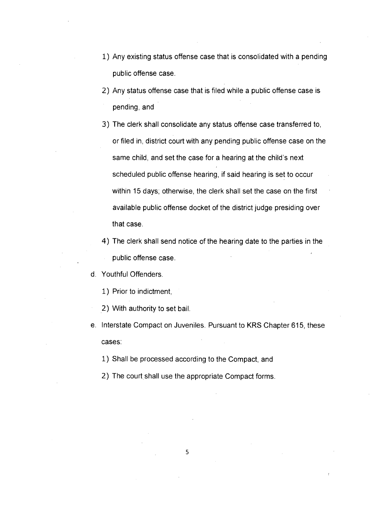- 1) Any existing status offense case that is consolidated with a pending public offense case.
- 2) Any status offense case that is filed while a public offense case is pending, and
- 3) The clerk shall consolidate any status offense case transferred to, or filed in, district court with any pending public offense case on the same child, and set the case for a hearing at the child's next scheduled public offense hearing, if said hearing is set to occur within 15 days; otherwise, the clerk shall set the case on the first available public offense docket of the district judge presiding over that case.
- 4) The clerk shall send notice of the hearing date to the parties in the public offense case.
- d. Youthful Offenders.
	- 1) Prior to indictment,
	- 2) With authority to set bail.
- e. Interstate Compact on Juveniles. Pursuant to KRS Chapter 615, these cases:
	- 1) Shall be processed according to the Compact, and
	- 2) The court shall use the appropriate Compact forms.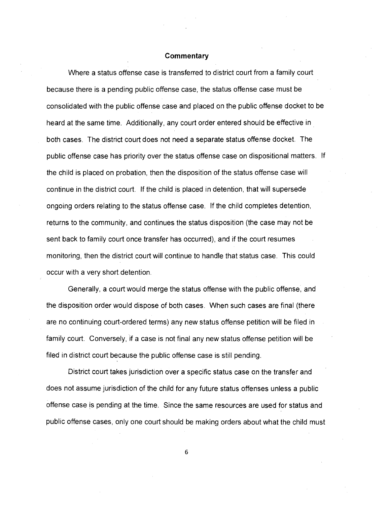Where a status offense case is transferred to district court from a family court because there is a pending public offense case, the status offense case must be consolidated with the public offense case and placed on the public offense docket to be heard at the same time. Additionally, any court order entered should be effective in both cases. The district court does not need a separate status offense docket. The public offense case has priority over the status offense case on dispositional matters. If the child is placed on probation, then the disposition of the status offense case will continue in the district court. If the child is placed in detention, that will supersede ongoing orders relating to the status offense case. If the child completes detention, returns to the community, and continues the status disposition (the case may not be sent back to family court once transfer has occurred), and if the court resumes monitoring, then the district court will continue to handle that status case. This could occur with a very short detention.

Generally, a court would merge the status offense with the public offense, and the disposition order would dispose of both cases. When such cases are final (there are no continuing court-ordered terms) any new status offense petition will be filed in family court. Conversely, if a case is not final any new status offense petition will be filed in district court because the public offense case is still pending.

District court takes jurisdiction over a specific status case on the transfer and does not assume jurisdiction of the child for any future status offenses unless a public offense case is pending at the time. Since the same resources are used for status and public offense cases, only one court should be making orders about what the child must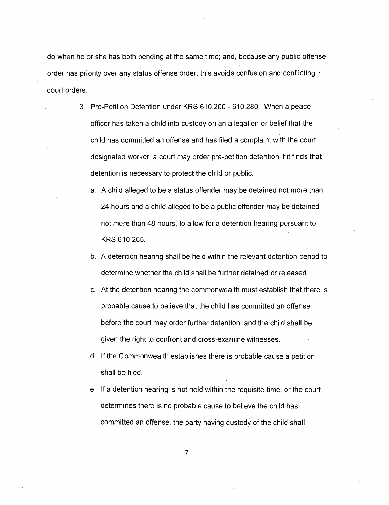do when he or she has both pending at the same time; and, because any public offense order has priority over any status offense order, this avoids confusion and conflicting court orders.

- 3. Pre-Petition Detention under KRS 610.200 610.280. When a peace officer has taken a child into custody on an allegation or belief that the child has committed an offense and has filed a complaint with the court designated worker, a court may order pre-petition detention if it finds that detention is necessary to protect the child or public:
	- a. A child alleged to be a status offender may be detained not more than 24 hours and a child alleged to be a public offender may be detained not more than 48 hours, to allow for a detention hearing pursuant to KRS 610.265.
	- b. A detention hearing shall be held within the relevant detention period to determine whether the child shall be further detained or released.
	- c. At the detention hearing the commonwealth must establish that there is probable cause to believe that the child has committed an offense before the court may order further detention, and the child shall be given the right to confront and cross-examine witnesses:
	- d. If the Commonwealth establishes there is probable cause a petition shall be filed.
	- e. If a detention hearing is not held within the requisite time, or the court determines there is no probable cause to believe the child has committed an offense, the party having custody of the child shall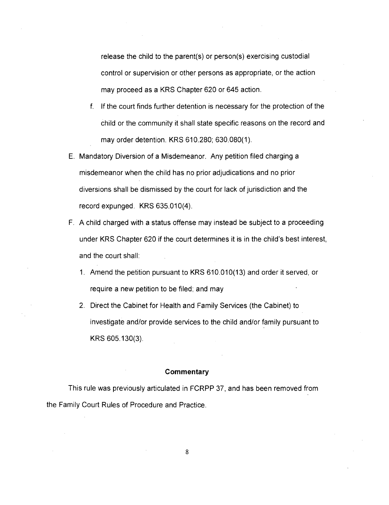release the child to the parent(s) or person(s) exercising custodial control or supervision or other persons as appropriate, or the action may proceed as a KRS Chapter 620 or 645 action.

- f. If the court finds further detention is necessary for the protection of the child or the community it shall state specific reasons on the record and may order detention. KRS 610.280; 630.080(1).
- E. Mandatory Diversion of a Misdemeanor. Any petition filed charging a misdemeanor when the child has no prior adjudications and no prior diversions shall be dismissed by the court for lack of jurisdiction and the record expunged. KRS 635.010(4).
- F. A child charged with a status offense may instead be subject to a proceeding under KRS Chapter 620 if the court determines it is in the child's best interest, and the court shall:
	- 1. Amend the petition pursuant to KRS 610.010(13) and order it served, or require a new petition to be filed; and may
	- 2. Direct the Cabinet for Health and Family Services (the Cabinet) to investigate and/or provide services to the child and/or family pursuant to KRS 605.130(3).

#### **Commentary**

This rule was previously articulated in FCRPP 37, and has been removed from the Family Court Rules of Procedure and Practice.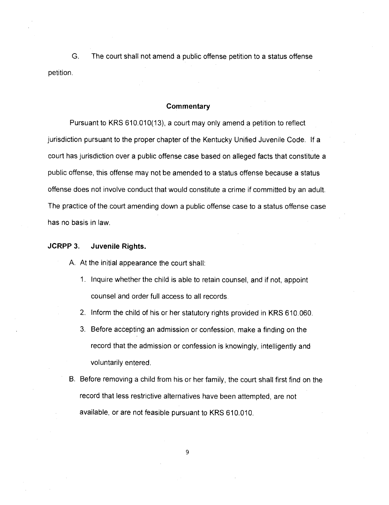G. The court shall not amend a public offense petition to a status offense petition.

#### **Commentary**

Pursuant to KRS 610.010(13), a court may only amend a petition to reflect jurisdiction pursuant to the proper chapter of the Kentucky Unified Juvenile Code. If a court has jurisdiction over a public offense case based on alleged facts that constitute a public offense, this offense may not be amended to a status offense because a status offense does not involve conduct that would constitute a crime if committed by an adult. The practice of the court amending down a public offense case to a status offense case has no basis in law.

#### **JCRPP 3. Juvenile Rights.**

- A. At the initial appearance the court shall:
	- 1. Inquire whether the child is able to retain counsel, and if not, appoint counsel and order full access to all records.
	- 2. Inform the child of his or her statutory rights provided in KRS 610.060.
	- 3. Before accepting an admission or confession, make a finding on the record that the admission or confession is knowingly, intelligently and voluntarily entered.
- B. Before removing a child from his or her family, the court shall first find on the record that less restrictive alternatives have been attempted, are not available, or are not feasible pursuant to KRS 610.010.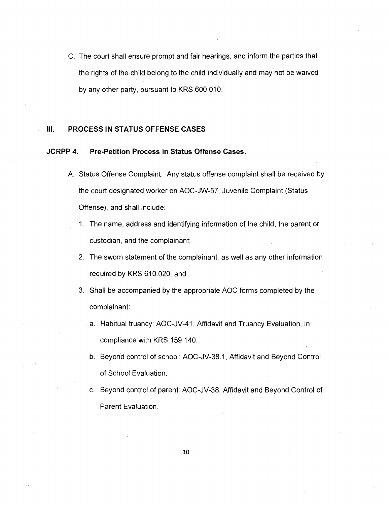C. The court shall ensure prompt and fair hearings, and inform the parties that the rights of the child belong to the child individually and may not be waived by any other party, pursuant to KRS 600.010.

#### **III. PROCESS IN STATUS OFFENSE CASES**

# **JCRPP 4. Pre-Petition Process in Status Offense Cases.**

- A. Status Offense Complaint. Any status offense complaint shall be received by the court designated worker on AOC-JW-57, Juvenile Complaint (Status Offense), and shall include:
	- 1. The name, address and identifying information of the child, the parent or custodian, and the complainant;
	- 2. The sworn statement of the complainant, as well as any other information required by KRS 610.020, and
	- 3. Shall be accompanied by the appropriate AOC forms completed by the complainant:
		- a. Habitual truancy: AOC-JV-41, Affidavit and Truancy Evaluation, in compliance with KRS 159.140.
		- b. Beyond control of school: AOC-JV-38.1, Affidavit and Beyond Control of School Evaluation.
		- c. Beyond control of parent: AOC-JV-38, Affidavit and Beyond Control of Parent Evaluation.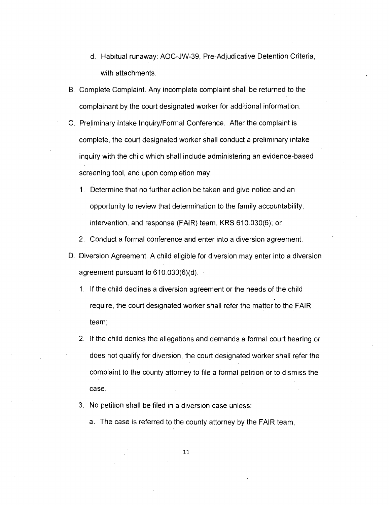- d. Habitual runaway: AOC-JW-39, Pre-Adjudicative Detention Criteria, with attachments.
- B. Complete Complaint. Any incomplete complaint shall be returned to the complainant by the court designated worker for additional information.
- C. Preliminary Intake Inquiry/Formal Conference. After the complaint is complete, the court designated worker shall conduct a preliminary intake inquiry with the child which shall include administering an evidence-based screening tool, and upon completion may:
	- 1. Determine that no further action be taken and give notice and an opportunity to review that determination to the family accountability, intervention, and response (FAIR) team. KRS 610.030(6); or
	- 2. Conduct a formal conference and enter into a diversion agreement.
- D. Diversion Agreement. A child eligible for diversion may enter into a diversion agreement pursuant to 610.030(6)(d).
	- 1. If the child declines a diversion agreement or the needs of the child require, the court designated worker shall refer the matter to the FAIR team;
	- 2. If the child denies the allegations and demands a formal court hearing or does not qualify for diversion, the court designated worker shall refer the complaint to the county attorney to file a formal petition or to dismiss the case.
	- 3. No petition shall be filed in a diversion case unless:
		- a. The case is referred to the county attorney by the FAIR team,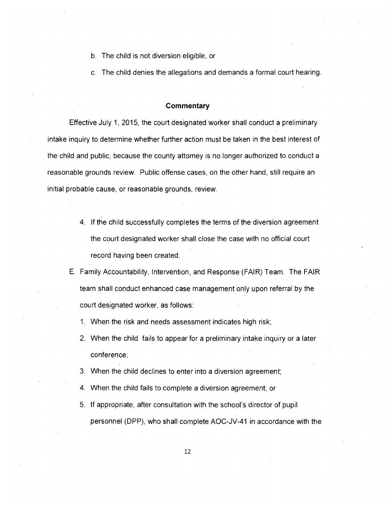- b. The child is not diversion eligible, or
- c. The child denies the allegations and demands a formal court hearing.

Effective July 1, 2015, the court designated worker shall conduct a preliminary intake inquiry to determine whether further action must be taken in the best interest of the child and public, because the county attorney is no longer authorized to conduct a reasonable grounds review. Public offense cases, on the other hand, still require an initial probable cause, or reasonable grounds, review.

- 4. If the child successfully completes the terms of the diversion agreement the court designated worker shall close the case with no official court record having been created.
- E. Family Accountability, Intervention, and Response (FAIR) Team. The FAIR team shall conduct enhanced case management only upon referral by the court designated worker, as follows:
	- 1. When the risk and needs assessment indicates high risk;
	- 2. When the child fails to appear for a preliminary intake inquiry or a later conference;
	- 3. When the child declines to enter into a diversion agreement;
	- 4. When the child fails to complete a diversion agreement; or
	- 5. If appropriate, after consultation with the school's director of pupil personnel (DPP), who shall complete AOC-JV-41 in accordance with the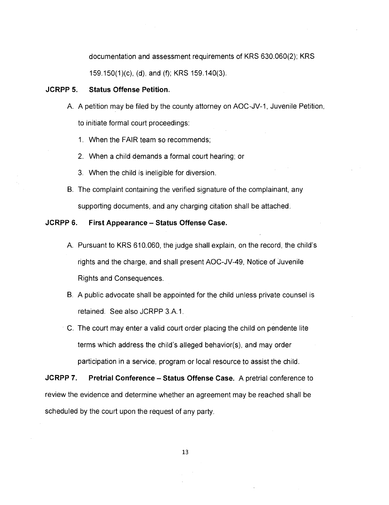documentation and assessment requirements of KRS 630.060(2); KRS

159.150(1)(c), (d), and (f); KRS 159.140(3).

#### **JCRPP 5. Status Offense Petition.**

A. A petition may be filed by the county attorney on AOC-JV-1, Juvenile Petition,

to initiate formal court proceedings:

- 1. When the FAIR team so recommends;
- 2. When a child demands a formal court hearing; or
- 3. When the child is ineligible for diversion.
- **B.** The complaint containing the verified signature of the complainant, any supporting documents, and any charging citation shall be attached.

# **JCRPP 6. First Appearance — Status Offense Case.**

- A. Pursuant to KRS 610.060, the judge shall explain, on the record, the child's rights and the charge, and shall present AOC-JV-49, Notice of Juvenile Rights and Consequences.
- B. A public advocate shall be appointed for the child unless private counsel is retained. See also JCRPP 3.A.1.
- C. The court may enter a valid court order placing the child on pendente lite terms which address the child's alleged behavior(s), and may order participation in a service, program or local resource to assist the child.

**JCRPP 7. Pretrial Conference — Status Offense Case.** A pretrial conference to review the evidence and determine whether an agreement may be reached shall be scheduled by the court upon the request of any party.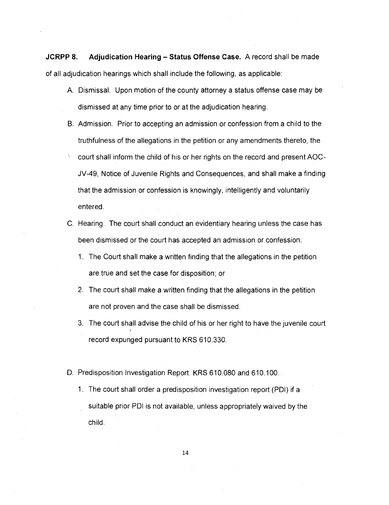**JCRPP 8. Adjudication Hearing — Status Offense Case.** A record shall be made of all adjudication hearings which shall include the following, as applicable:

- A. Dismissal. Upon motion of the county attorney a status offense case may be dismissed at any time prior to or at the adjudication hearing.
- B. Admission. Prior to accepting an admission or confession from a child to the truthfulness of the allegations in the petition or any amendments thereto, the
- court shall inform the child of his or her rights on the record and present AOC-JV-49, Notice of Juvenile Rights and Consequences, and shall make a finding that the admission or confession is knowingly, intelligently and voluntarily entered.
- C. Hearing. The court shall conduct an evidentiary hearing unless the case has been dismissed or the court has accepted an admission or confession.
	- 1. The Court shall make a written finding that the allegations in the petition are true and set the case for disposition; or
	- 2. The court shall make a written finding that the allegations in the petition are not proven and the case shall be dismissed.
	- 3. The court shall advise the child of his or her right to have the juvenile court record expunged pursuant to KRS 610.330.
- D. Predisposition Investigation Report. KRS 610.080 and 610.100.
	- 1. The court shall order a predisposition investigation report (PDI) if a suitable prior PDI is not available, unless appropriately waived by the child.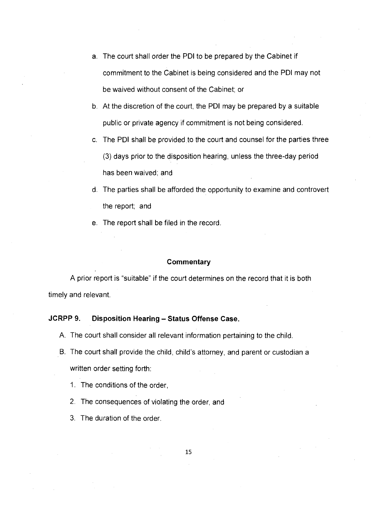- a. The court shall order the PDI to be prepared by the Cabinet if commitment to the Cabinet is being considered and the PDI may not be waived without consent of the Cabinet; or
- b. At the discretion of the court, the PDI may be prepared by a suitable public or private agency if commitment is not being considered.
- c. The PDI shall be provided to the court and counsel for the parties three (3) days prior to the disposition hearing, unless the three-day period has been waived; and
- d. The parties shall be afforded the opportunity to examine and controvert the report; and
- e. The report shall be filed in the record

A prior report is "suitable" if the court determines on the record that it is both timely and relevant.

# **JCRPP 9. Disposition Hearing — Status Offense Case.**

- A. The court shall consider all relevant information pertaining to the child.
- B. The court shall provide the child, child's attorney, and parent or custodian a written order setting forth:
	- 1. The conditions of the order,
	- 2. The consequences of violating the order, and
	- 3. The duration of the order.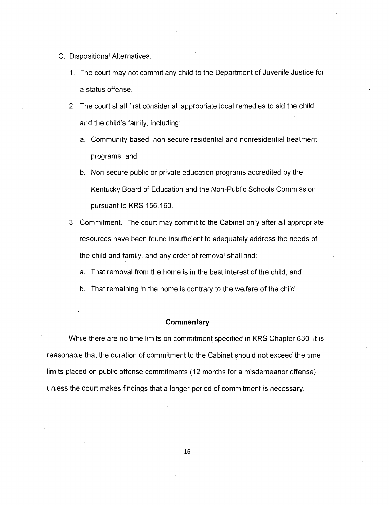- C. Dispositional Alternatives.
	- 1. The court may not commit any child to the Department of Juvenile Justice for a status offense.
	- 2. The court shall first consider all appropriate local remedies to aid the child and the child's family, including:
		- a. Community-based, non-secure residential and nonresidential treatment programs; and
		- b. Non-secure public or private education programs accredited by the Kentucky Board of Education and the Non-Public Schools Commission pursuant to KRS 156.160.
	- 3. Commitment. The court may commit to the Cabinet only after all appropriate resources have been found insufficient to adequately address the needs of the child and family, and any order of removal shall find:
		- a. That removal from the home is in the best interest of the child; and
		- b. That remaining in the home is contrary to the welfare of the child.

While there are no time limits on commitment specified in KRS Chapter 630, it is reasonable that the duration of commitment to the Cabinet should not exceed the time limits placed on public offense commitments (12 months for a misdemeanor offense) unless the court makes findings that a longer period of commitment is necessary.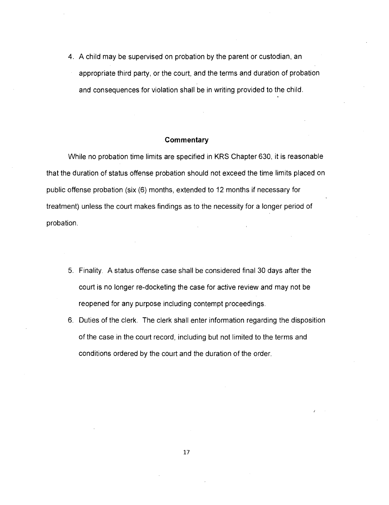4. A child may be supervised on probation by the parent or custodian, an appropriate third party, or the court, and the terms and duration of probation and consequences for violation shall be in writing provided to the child.

#### **Commentary**

While no probation time limits are specified in KRS Chapter 630, it is reasonable that the duration of status offense probation should not exceed the time limits placed on public offense probation (six (6) months, extended to 12 months if necessary for treatment) unless the court makes findings as to the necessity for a longer period of probation.

- 5. Finality. A status offense case shall be considered final 30 days after the court is no longer re-docketing the case for active review and may not be reopened for any purpose including contempt proceedings.
- 6. Duties of the clerk. The clerk shall enter information regarding the disposition of the case in the court record, including but not limited to the terms and conditions ordered by the court and the duration of the order.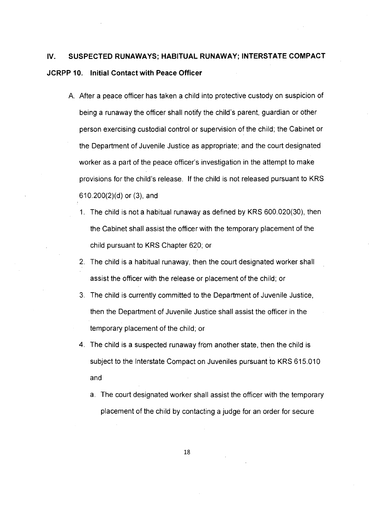# **IV. SUSPECTED RUNAWAYS; HABITUAL RUNAWAY; INTERSTATE COMPACT JCRPP 10. Initial Contact with Peace Officer**

- A. After a peace officer has taken a child into protective custody on suspicion of being a runaway the officer shall notify the child's parent, guardian or other person exercising custodial control or supervision of the child; the Cabinet or the Department of Juvenile Justice as appropriate; and the court designated worker as a part of the peace officer's investigation in the attempt to make provisions for the child's release. If the child is not released pursuant to KRS 610.200(2)(d) or (3), and
	- 1. The child is not a habitual runaway as defined by KRS 600.020(30), then the Cabinet shall assist the officer with the temporary placement of the child pursuant to KRS Chapter 620; or
	- 2. The child is a habitual runaway, then the court designated worker shall assist the officer with the release or placement of the child; or
	- 3. The child is currently committed to the Department of Juvenile Justice, then the Department of Juvenile Justice shall assist the officer in the temporary placement of the child; or
	- 4. The child is a suspected runaway from another state, then the child is subject to the Interstate Compact on Juveniles pursuant to KRS 615.010 and
		- a. The court designated worker shall assist the officer with the temporary placement of the child by contacting a judge for an order for secure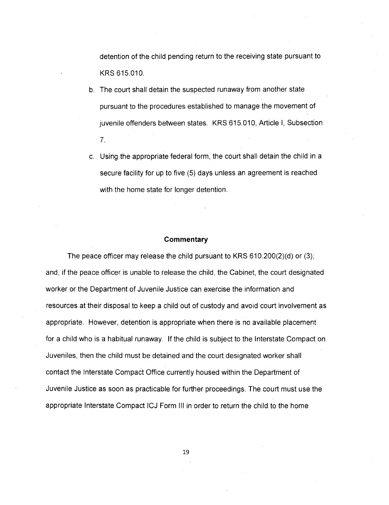detention of the child pending return to the receiving state pursuant to KRS 615.010.

- b. The court shall detain the suspected runaway from another state pursuant to the procedures established to manage the movement of juvenile offenders between states. KRS 615.010, Article I, Subsection 7.
- c. Using the appropriate federal form, the court shall detain the child in a secure facility for up to five (5) days unless an agreement is reached with the home state for longer detention.

#### **Commentary**

The peace officer may release the child pursuant to KRS 610.200(2)(d) or (3); and, if the peace officer is unable to release the child, the Cabinet, the court designated worker or the Department of Juvenile Justice can exercise the information and resources at their disposal to keep a child out of custody and avoid court involvement as appropriate. However, detention is appropriate when there is no available placement for a child who is a habitual runaway. If the child is subject to the Interstate Compact on Juveniles, then the child must be detained and the court designated worker shall contact the Interstate Compact Office currently housed within the Department of Juvenile Justice as soon as practicable for further proceedings. The court must use the appropriate Interstate Compact ICJ Form III in order to return the child to the home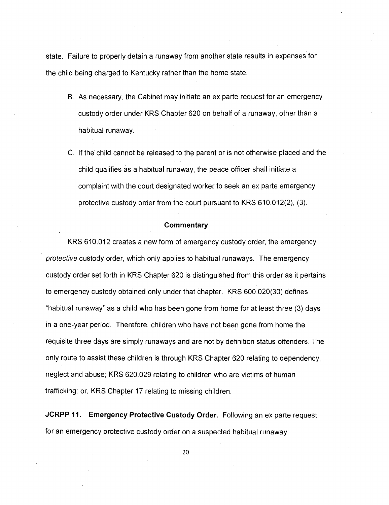state. Failure to properly detain a runaway from another state results in expenses for the child being charged to Kentucky rather than the home state.

- B. As necessary, the Cabinet may initiate an ex parte request for an emergency custody order under KRS Chapter 620 on behalf of a runaway, other than a habitual runaway.
- C. If the child cannot be released to the parent or is not otherwise placed and the child qualifies as a habitual runaway, the peace officer shall initiate a complaint with the court designated worker to seek an ex parte emergency protective custody order from the court pursuant to KRS 610.012(2), (3).

#### **Commentary**

KRS 610.012 creates a new form of emergency custody order, the emergency protective custody order, which only applies to habitual runaways. The emergency custody order set forth in KRS Chapter 620 is distinguished from this order as it pertains to emergency custody obtained only under that chapter. KRS 600.020(30) defines "habitual runaway" as a child who has been gone from home for at least three (3) days in a one-year period. Therefore, children who have not been gone from home the requisite three days are simply runaways and are not by definition status offenders. The only route to assist these children is through KRS Chapter 620 relating to dependency, neglect and abuse; KRS 620.029 relating to children who are victims of human trafficking; or, KRS Chapter 17 relating to missing children.

**JCRPP 11. Emergency Protective Custody Order.** Following an ex parte request for an emergency protective custody order on a suspected habitual runaway: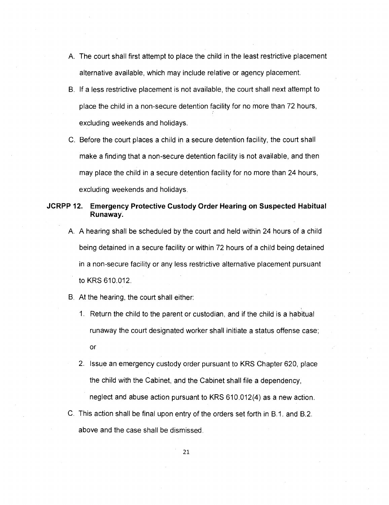- A. The court shall first attempt to place the child in the least restrictive placement alternative available, which may include relative or agency placement.
- B. If a less restrictive placement is not available, the court shall next attempt to place the child in a non-secure detention facility for no more than 72 hours, excluding weekends and holidays.
- C. Before the court places a child in a secure detention facility, the court shall make a finding that a non-secure detention facility is not available, and then may place the child in a secure detention facility for no more than 24 hours, excluding weekends and holidays.

# **JCRPP 12. Emergency Protective Custody Order Hearing on Suspected Habitual Runaway.**

A. A hearing shall be scheduled by the court and held within 24 hours of a child being detained in a secure facility or within 72 hours of a child being detained in a non-secure facility or any less restrictive alternative placement pursuant to KRS 610.012.

#### B. At the hearing, the court shall either:

- 1 Return the child to the parent or custodian, and if the child is a habitual runaway the court designated worker shall initiate a status offense case; or
- 2. Issue an emergency custody order pursuant to KRS Chapter 620, place the child with the Cabinet, and the Cabinet shall file a dependency, neglect and abuse action pursuant to KRS 610.012(4) as a new action.
- C. This action shall be final upon entry of the orders set forth in B.1. and B.2. above and the case shall be dismissed.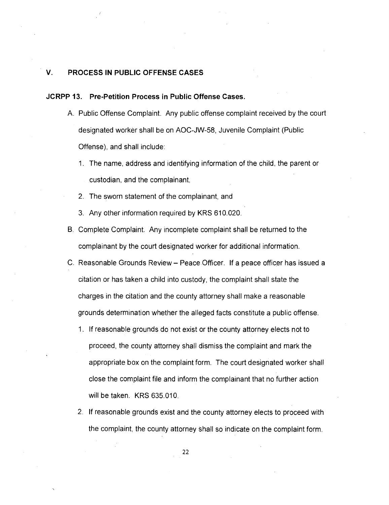# **V. PROCESS IN PUBLIC OFFENSE CASES**

#### **JCRPP 13. Pre-Petition Process in Public Offense Cases.**

- A. Public Offense Complaint. Any public offense complaint received by the court designated worker shall be on AOC-JW-58, Juvenile Complaint (Public Offense), and shall include:
	- 1. The name, address and identifying information of the child, the parent or custodian, and the complainant,
	- 2. The sworn statement of the complainant, and
	- 3. Any other information required by KRS 610.020.
- B. Complete Complaint. Any incomplete complaint shall be returned to the complainant by the court designated worker for additional information.
- C. Reasonable Grounds Review Peace Officer. If a peace officer has issued a citation or has taken a child into custody, the complaint shall state the charges in the citation and the county attorney shall make a reasonable grounds determination whether the alleged facts constitute a public offense.
	- 1. If reasonable grounds do not exist or the county attorney elects not to proceed, the county attorney shall dismiss the complaint and mark the appropriate box on the complaint form. The court designated worker shall close the complaint file and inform the complainant that no further action will be taken. KRS 635.010.
	- 2. If reasonable grounds exist and the county attorney elects to proceed with the complaint, the county attorney shall so indicate on the complaint form.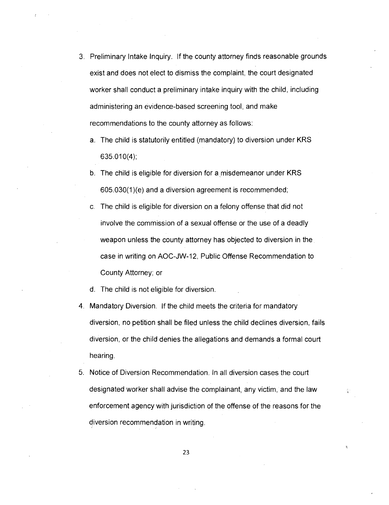- 3. Preliminary Intake Inquiry. If the county attorney finds reasonable grounds exist and does not elect to dismiss the complaint, the court designated worker shall conduct a preliminary intake inquiry with the child, including administering an evidence-based screening tool, and make recommendations to the county attorney as follows:
	- a. The child is statutorily entitled (mandatory) to diversion under KRS 635.010(4);
	- b. The child is eligible for diversion for a misdemeanor under KRS 605.030(1)(e) and a diversion agreement is recommended;
	- c. The child is eligible for diversion on a felony offense that did not involve the commission of a sexual offense or the use of a deadly weapon unless the county attorney has objected to diversion in the case in writing on AOC-JW-12, Public Offense Recommendation to County Attorney; or
	- d. The child is not eligible for diversion.
- 4. Mandatory Diversion. If the child meets the criteria for mandatory diversion, no petition shall be filed unless the child declines diversion, fails diversion, or the child denies the allegations and demands a formal court hearing.
- 5. Notice of Diversion Recommendation. In all diversion cases the court designated worker shall advise the complainant, any victim, and the law enforcement agency with jurisdiction of the offense of the reasons for the diversion recommendation in writing.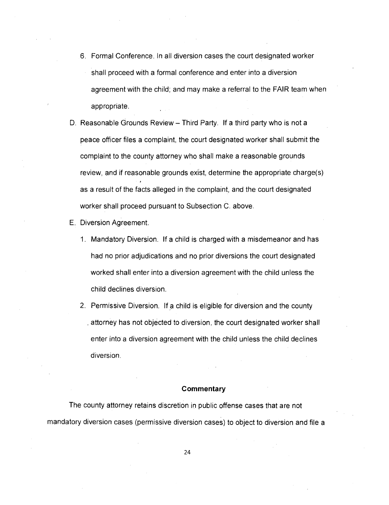- 6. Formal Conference. In all diversion cases the court designated worker shall proceed with a formal conference and enter into a diversion agreement with the child; and may make a referral to the FAIR team when appropriate.
- D. Reasonable Grounds Review Third Party. If a third party who is not a peace officer files a complaint, the court designated worker shall submit the complaint to the county attorney who shall make a reasonable grounds review, and if reasonable grounds exist, determine the appropriate charge(s) as a result of the facts alleged in the complaint, and the court designated worker shall proceed pursuant to Subsection C. above.
- E. Diversion Agreement.
	- 1. Mandatory Diversion. If a child is charged with a misdemeanor and has had no prior adjudications and no prior diversions the court designated worked shall enter into a diversion agreement with the child unless the child declines diversion.
	- 2. Permissive Diversion. If a child is eligible for diversion and the county . attorney has not objected to diversion, the court designated worker shall enter into a diversion agreement with the child unless the child declines diversion.

The county attorney retains discretion in public offense cases that are not mandatory diversion cases (permissive diversion cases) to object to diversion and file a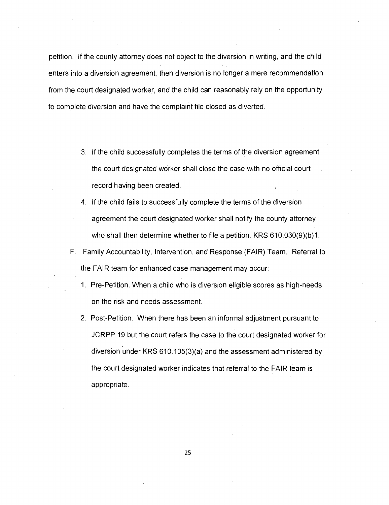petition. If the county attorney does not object to the diversion in writing, and the child enters into a diversion agreement, then diversion is no longer a mere recommendation from the court designated worker, and the child can reasonably rely on the opportunity to complete diversion and have the complaint file closed as diverted.

- 3. If the child successfully completes the terms of the diversion agreement the court designated worker shall close the case with no official court record having been created.
- 4. If the child fails to successfully complete the terms of the diversion agreement the court designated worker shall notify the county attorney who shall then determine whether to file a petition. KRS 610.030(9)(b)1.
- F. Family Accountability, Intervention, and Response (FAIR) Team. Referral to the FAIR team for enhanced case management may occur:
	- 1. Pre-Petition. When a child who is diversion eligible scores as high-needs on the risk and needs assessment.
	- 2. Post-Petition. When there has been an informal adjustment pursuant to JCRPP 19 but the court refers the case to the court designated worker for diversion under KRS 610.105(3)(a) and the assessment administered by the court designated worker indicates that referral to the FAIR team is appropriate.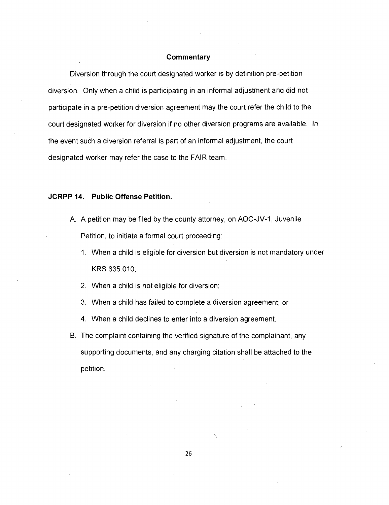Diversion through the court designated worker is by definition pre-petition diversion. Only when a child is participating in an informal adjustment and did not participate in a pre-petition diversion agreement may the court refer the child to the court designated worker for diversion if no other diversion programs are available. In the event such a diversion referral is part of an informal adjustment, the court designated worker may refer the case to the FAIR team.

#### **JCRPP 14. Public Offense Petition.**

- A. A petition may be filed by the county attorney, on AOC-JV-1, Juvenile Petition, to initiate a formal court proceeding:
	- 1. When a child is eligible for diversion but diversion is not mandatory under KRS 635.010;
	- 2. When a child is not eligible for diversion;
	- 3. When a child has failed to complete a diversion agreement; or
	- 4. When a child declines to enter into a diversion agreement.
- B. The complaint containing the verified signature of the complainant, any supporting documents, and any charging citation shall be attached to the petition.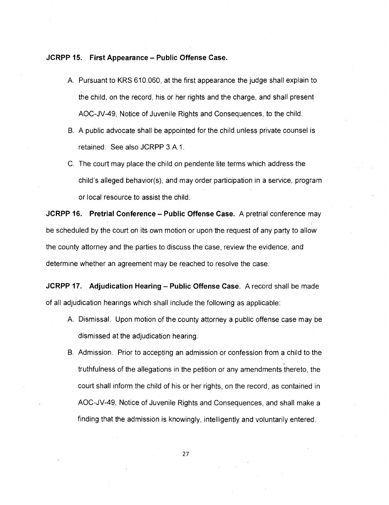#### **JCRPP 15. First Appearance — Public Offense Case.**

- A. Pursuant to KRS 610.060, at the first appearance the judge shall explain to the child, on the record, his or her rights and the charge, and shall present AOC-JV-49, Notice of Juvenile Rights and Consequences, to the child.
- B. A public advocate shall be appointed for the child unless private counsel is retained. See also JCRPP 3.A.1.
- C. The court may place the child on pendente lite terms which address the child's alleged behavior(s), and may order participation in a service, program or local resource to assist the child.

**JCRPP 16. Pretrial Conference — Public Offense Case.** A pretrial conference may be scheduled by the court on its own motion or upon the request of any party to allow the county attorney and the parties to discuss the case, review the evidence, and determine whether an agreement may be reached to resolve the case.

**JCRPP 17. Adjudication Hearing — Public Offense Case.** A record shall be made of all adjudication hearings which shall include the following as applicable:

- A. Dismissal. Upon motion of the county attorney a public offense case may be dismissed at the adjudication hearing.
- B. Admission. Prior to accepting an admission or confession from a child to the truthfulness of the allegations in the petition or any amendments thereto, the court shall inform the child of his or her rights, on the record, as contained in AOC-JV-49, Notice of Juvenile Rights and Consequences, and shall make a finding that the admission is knowingly, intelligently and voluntarily entered.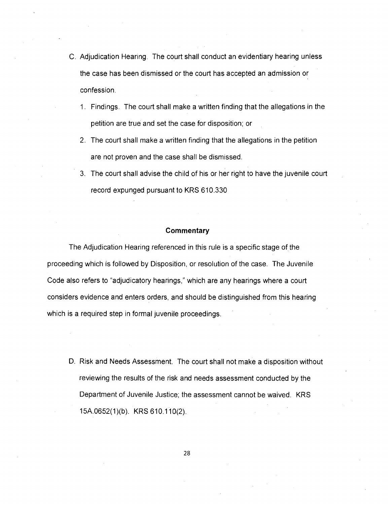- C. Adjudication Hearing. The court shall conduct an evidentiary hearing unless the case has been dismissed or the court has accepted an admission or confession.
	- 1. Findings. The court shall make a written finding that the allegations in the petition are true and set the case for disposition; or
	- 2. The court shall make a written finding that the allegations in the petition are not proven and the case shall be dismissed.
	- 3. The court shall advise the child of his or her right to have the juvenile court record expunged pursuant to KRS 610.330

The Adjudication Hearing referenced in this rule is a specific stage of the proceeding which is followed by Disposition, or resolution of the case. The Juvenile Code also refers to "adjudicatory hearings," which are any hearings where a court considers evidence and enters orders, and should be distinguished from this hearing which is a required step in formal juvenile proceedings.

D. Risk and Needs Assessment. The court shall not make a disposition without reviewing the results of the risk and needs assessment conducted by the Department of Juvenile Justice; the assessment cannot be waived. KRS 15A.0652(1)(b). KRS 610.110(2).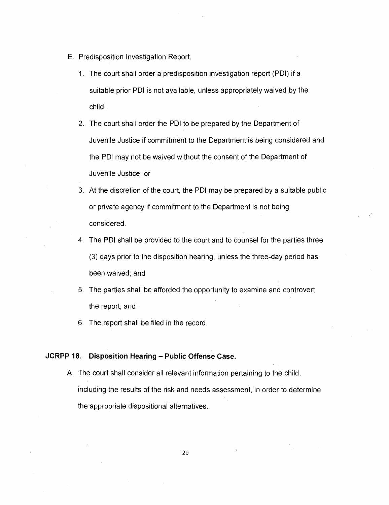- E. Predisposition Investigation Report.
	- 1. The court shall order a predisposition investigation report (PDI) if a suitable prior PDI is not available, unless appropriately waived by the child.
	- 2. The court shall order the PDI to be prepared by the Department of Juvenile Justice if commitment to the Department is being considered and the PDI may not be waived without the consent of the Department of Juvenile Justice; or
	- 3. At the discretion of the court, the PDI may be prepared by a suitable public or private agency if commitment to the Department is not being considered.
	- 4. The PDI shall be provided to the court and to counsel for the parties three (3) days prior to the disposition hearing, unless the three-day period has been waived; and
	- 5. The parties shall be afforded the opportunity to examine and controvert the report; and
	- 6. The report shall be filed in the record.

# **JCRPP 18. Disposition Hearing — Public Offense Case.**

A. The court shall consider all relevant information pertaining to the child, including the results of the risk and needs assessment, in order to determine the appropriate dispositional alternatives.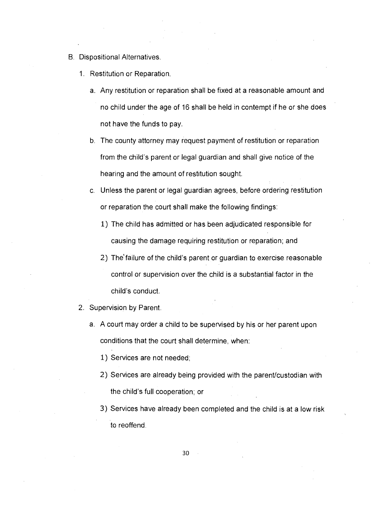- B. Dispositional Alternatives.
	- 1. Restitution or Reparation.
		- a. Any restitution or reparation shall be fixed at a reasonable amount and no child under the age of 16 shall be held in contempt if he or she does not have the funds to pay.
		- b. The county attorney may request payment of restitution or reparation from the child's parent or legal guardian and shall give notice of the hearing and the amount of restitution sought.
		- c. Unless the parent or legal guardian agrees, before ordering restitution or reparation the court shall make the following findings:
			- 1) The child has admitted or has been adjudicated responsible for causing the damage requiring restitution or reparation; and
			- 2) The'failure of the child's parent or guardian to exercise reasonable control or supervision over the child is a substantial factor in the child's conduct.
	- 2. Supervision by Parent.
		- a. A court may order a child to be supervised by his or her parent upon conditions that the court shall determine, when:
			- 1) Services are not needed;
			- 2) Services are already being provided with the parent/custodian with the child's full cooperation; or
			- 3) Services have already been completed and the child is at a low risk to reoffend.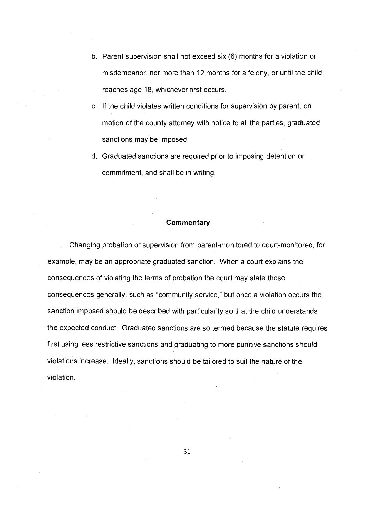- b. Parent supervision shall not exceed six (6) months for a violation or misdemeanor, nor more than 12 months for a felony, or until the child reaches age 18, whichever first occurs.
- c. If the child violates written conditions for supervision by parent, on motion of the county attorney with notice to all the parties, graduated sanctions may be imposed.
- d. Graduated sanctions are required prior to imposing detention or commitment, and shall be in writing.

Changing probation or supervision from parent-monitored to court-monitored, for example, may be an appropriate graduated sanction. When a court explains the consequences of violating the terms of probation the court may state those consequences generally, such as "community service," but once a violation occurs the sanction imposed should be described with particularity so that the child understands the expected conduct. Graduated sanctions are so termed because the statute requires first using less restrictive sanctions and graduating to more punitive sanctions should violations increase. Ideally, sanctions should be tailored to suit the nature of the violation.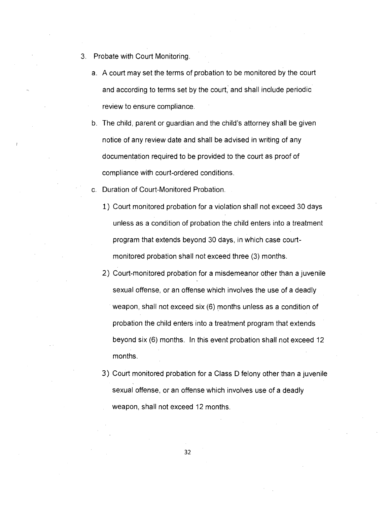- 3. Probate with Court Monitoring.
	- a. A court may set the terms of probation to be monitored by the court and according to terms set by the court, and shall include periodic review to ensure compliance.
	- b. The child, parent or guardian and the child's attorney shall be given notice of any review date and shall be advised in writing of any documentation required to be provided to the court as proof of compliance with court-ordered conditions.
	- c. Duration of Court-Monitored Probation.
		- 1) Court monitored probation for a violation shall not exceed 30 days unless as a condition of probation the child enters into a treatment program that extends beyond 30 days, in which case courtmonitored probation shall not exceed three (3) months.
		- 2) Court-monitored probation for a misdemeanor other than a juvenile sexual offense, or an offense which involves the use of a deadly weapon, shall not exceed six (6) months unless as a condition of probation the child enters into a treatment program that extends beyond six (6) months. In this event probation shall not exceed 12 months.
		- 3) Court monitored probation for a Class D felony other than a juvenile sexual offense, or an offense which involves use of a deadly weapon, shall not exceed 12 months.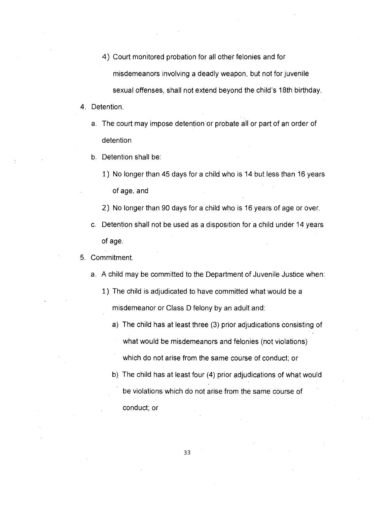- 4) Court monitored probation for all other felonies and for misdemeanors involving a deadly weapon, but not for juvenile sexual offenses, shall not extend beyond the child's 18th birthday.
- 4. Detention.
	- a. The court may impose detention or probate all or part of an order of detention
	- b. Detention shall be:
		- 1) No longer than 45 days for a child who is 14 but less than 16 years of age, and
		- 2) No longer than 90 days for a child who is 16 years of age or over.
	- c. Detention shall not be used as a disposition for a child under 14 years of age.

#### 5. Commitment.

- a. A child may be committed to the Department of Juvenile Justice when:
	- 1) The child is adjudicated to have committed what would be a misdemeanor or Class D felony by an adult and:
		- a) The child has at least three (3) prior adjudications consisting of what would be misdemeanors and felonies (not violations) which do not arise from the same course of conduct; or
		- b) The child has at least four (4) prior adjudications of what would be violations which do not arise from the same course of conduct; or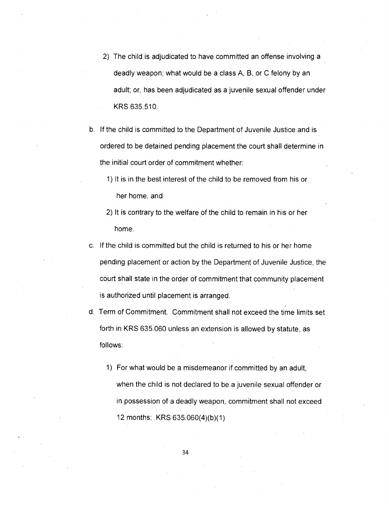- 2) The child is adjudicated to have committed an offense involving a deadly weapon; what would be a class A, B, or C felony by an adult; or, has been adjudicated as a juvenile sexual offender under KRS 635.510.
- b. If the child is committed to the Department of Juvenile Justice and is ordered to be detained pending placement the court shall determine in the initial court order of commitment whether:
	- 1) It is in the best interest of the child to be removed from his or her home, and
	- 2) It is contrary to the welfare of the child to remain in his or her home.
- c. If the child is committed but the child is returned to his or her home pending placement or action by the Department of Juvenile Justice, the court shall state in the order of commitment that community placement is authorized until placement is arranged.
- d. Term of Commitment. Commitment shall not exceed the time limits set forth in KRS 635.060 unless an extension is allowed by statute, as follows:
	- 1) For what would be a misdemeanor if committed by an adult, when the child is not declared to be a juvenile sexual offender or in possession of a deadly weapon, commitment shall not exceed 12 months; KRS 635.060(4)(b)(1)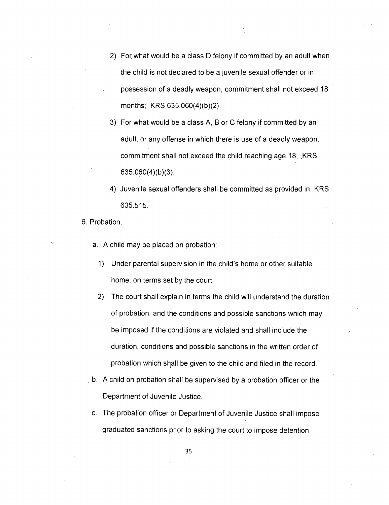- 2) For what would be a class D felony if committed by an adult when the child is not declared to be a juvenile sexual offender or in possession of a deadly weapon, commitment shall not exceed 18 months; KRS 635.060(4)(b)(2).
- 3) For what would be a class A, B or C felony if committed by an adult, or any offense in which there is use of a deadly weapon, commitment shall not exceed the child reaching age 18; KRS 635.060(4)(b)(3).
- 4) Juvenile sexual offenders shall be committed as provided in KRS 635.515.
- 6. Probation.
	- a. A child may be placed on probation:
		- 1) Under parental supervision in the child's home or other suitable home, on terms set by the court.
		- 2) The court shall explain in terms the child will understand the duration of probation, and the conditions and possible sanctions which may be imposed if the conditions are violated and shall include the duration, conditions and possible sanctions in the written order of probation which shall be given to the child and filed in the record.
	- b. A child on probation shall be supervised by a probation officer or the Department of Juvenile Justice.
	- c. The probation officer or Department of Juvenile Justice shall impose graduated sanctions prior to asking the court to impose detention.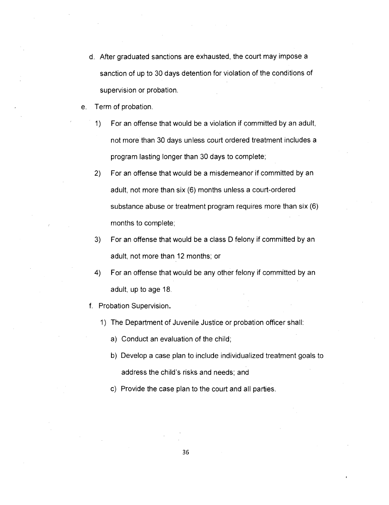- d. After graduated sanctions are exhausted, the court may impose a sanction of up to 30 days detention for violation of the conditions of supervision or probation.
- e. Term of probation.
	- 1) For an offense that would be a violation if committed by an adult, not more than 30 days unless court ordered treatment includes a program lasting longer than 30 days to complete;
	- 2) For an offense that would be a misdemeanor if committed by an adult, not more than six (6) months unless a court-ordered substance abuse or treatment program requires more than six (6) months to complete;
	- 3) For an offense that would be a class D felony if committed by an adult, not more than 12 months; or
	- 4) For an offense that would be any other felony if committed by an adult, up to age 18.
	- f. Probation Supervision.
		- 1) The Department of Juvenile Justice or probation officer shall:
			- a) Conduct an evaluation of the child;
			- b) Develop a case plan to include individualized treatment goals to address the child's risks and needs; and
			- c) Provide the case plan to the court and all parties.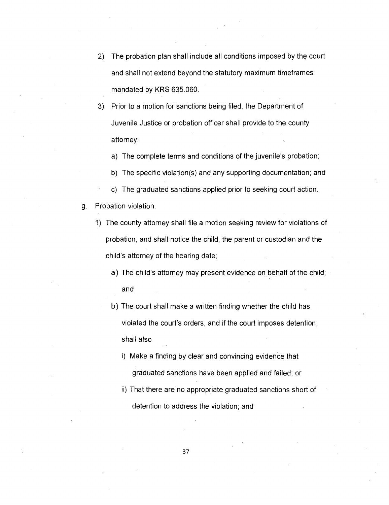- 2) The probation plan shall include all conditions imposed by the court and shall not extend beyond the statutory maximum timeframes mandated by KRS 635.060.
- 3) Prior to a motion for sanctions being filed, the Department of Juvenile Justice or probation officer shall provide to the county attorney:
	- a) The complete terms and conditions of the juvenile's probation;
	- b) The specific violation(s) and any supporting documentation; and
	- c) The graduated sanctions applied prior to seeking court action.
- g. Probation violation.
	- 1) The county attorney shall file a motion seeking review for violations of probation, and shall notice the child, the parent or custodian and the child's attorney of the hearing date;
		- a) The child's attorney may present evidence on behalf of the child; and
		- b) The court shall make a written finding whether the child has violated the court's orders, and if the court imposes detention, shall also
			- i) Make a finding by clear and convincing evidence that graduated sanctions have been applied and failed; or
			- ii) That there are no appropriate graduated sanctions short of detention to address the violation; and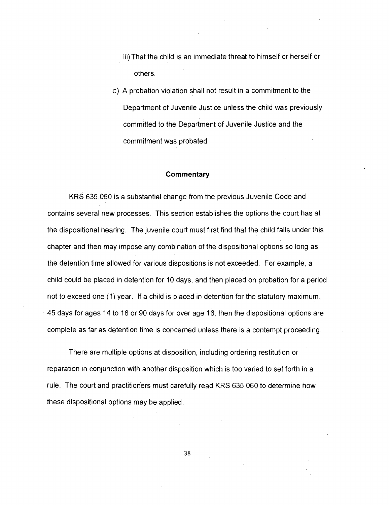- iii) That the child is an immediate threat to himself or herself or others.
- c) A probation violation shall not result in a commitment to the Department of Juvenile Justice unless the child was previously committed to the Department of Juvenile Justice and the commitment was probated.

#### **Commentary**

KRS 635.060 is a substantial change from the previous Juvenile Code and contains several new processes. This section establishes the options the court has at the dispositional hearing. The juvenile court must first find that the child falls under this chapter and then may impose any combination of the dispositional options so long as the detention time allowed for various dispositions is not exceeded. For example, a child could be placed in detention for 10 days, and then placed on probation for a period not to exceed one (1) year. If a child is placed in detention for the statutory maximum, 45 days for ages 14 to 16 or 90 days for over age 16, then the dispositional options are complete as far as detention time is concerned unless there is a contempt proceeding.

There are multiple options at disposition, including ordering restitution or reparation in conjunction with another disposition which is too varied to set forth in a rule. The court and practitioners must carefully read KRS 635.060 to determine how these dispositional options may be applied.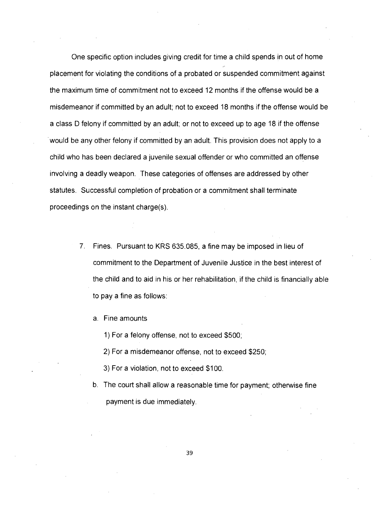One specific option includes giving credit for time a child spends in out of home placement for violating the conditions of a probated or suspended commitment against the maximum time of commitment not to exceed 12 months if the offense would be a misdemeanor if committed by an adult; not to exceed 18 months if the offense would be a class D felony if committed by an adult; or not to exceed up to age 18 if the offense would be any other felony if committed by an adult. This provision does not apply to a child who has been declared a juvenile sexual offender or who committed an offense involving a deadly weapon. These categories of offenses are addressed by other statutes. Successful completion of probation or a commitment shall terminate proceedings on the instant charge(s).

- 7. Fines. Pursuant to KRS 635.085, a fine may be imposed in lieu of commitment to the Department of Juvenile Justice in the best interest of the child and to aid in his or her rehabilitation, if the child is financially able to pay a fine as follows:
	- a. Fine amounts
		- 1) For a felony offense, not to exceed \$500;
		- 2) For a misdemeanor offense, not to exceed \$250;
		- 3) For a violation, not to exceed \$100.
	- b. The court shall allow a reasonable time for payment; otherwise fine payment is due immediately.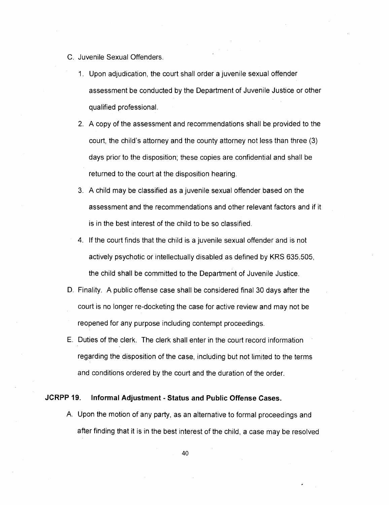- C. Juvenile Sexual Offenders.
	- 1. Upon adjudication, the court shall order a juvenile sexual offender assessment be conducted by the Department of Juvenile Justice or other qualified professional.
	- 2. A copy of the assessment and recommendations shall be provided to the court, the child's attorney and the county attorney not less than three (3) days prior to the disposition; these copies are confidential and shall be returned to the court at the disposition hearing.
	- 3. A child may be classified as a juvenile sexual offender based on the assessment and the recommendations and other relevant factors and if it is in the best interest of the child to be so classified.
	- 4. If the court finds that the child is a juvenile sexual offender and is not actively psychotic or intellectually disabled as defined by KRS 635.505, the child shall be committed to the Department of Juvenile Justice.
- D. Finality. A public offense case shall be considered final 30 days after the court is no longer re-docketing the case for active review and may not be reopened for any purpose including contempt proceedings.
- E. Duties of the clerk. The clerk shall enter in the court record information regarding the disposition of the case, including but not limited to the terms and conditions ordered by the court and the duration of the order.

# **JCRPP 19. Informal Adjustment - Status and Public Offense Cases.**

A. Upon the motion of any party, as an alternative to formal proceedings and after finding that it is in the best interest of the child, a case may be resolved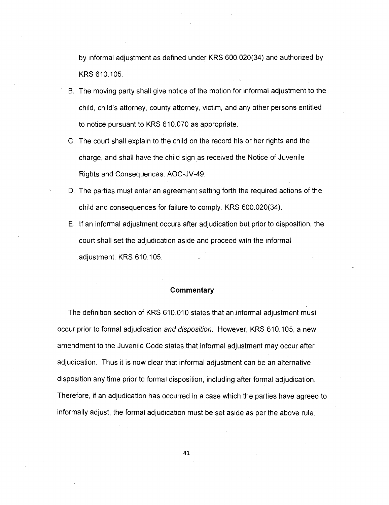by informal adjustment as defined under KRS 600.020(34) and authorized by KRS 610.105.

- B. The moving party shall give notice of the motion for informal adjustment to the child, child's attorney, county attorney, victim, and any other persons entitled to notice pursuant to KRS 610.070 as appropriate.
- C. The court shall explain to the child on the record his or her rights and the charge, and shall have the child sign as received the Notice of Juvenile Rights and Consequences, AOC-JV-49.
- D. The parties must enter an agreement setting forth the required actions of the child and consequences for failure to comply. KRS 600.020(34).
- E. If an informal adjustment occurs after adjudication but prior to disposition, the court shall set the adjudication aside and proceed with the informal adjustment. KRS 610.105.

#### **Commentary**

The definition section of KRS 610.010 states that an informal adjustment must occur prior to formal adjudication and disposition. However, KRS 610.105, a new amendment to the Juvenile Code states that informal adjustment may occur after adjudication. Thus it is now clear that informal adjustment can be an alternative disposition any time prior to formal disposition, including after formal adjudication. Therefore, if an adjudication has occurred in a case which the parties have agreed to informally adjust, the formal adjudication must be set aside as per the above rule.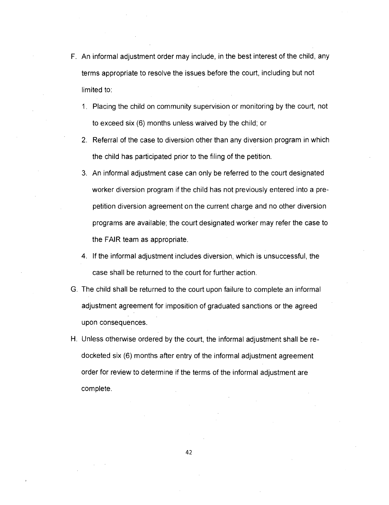- F. An informal adjustment order may include, in the best interest of the child, any terms appropriate to resolve the issues before the court, including but not limited to:
	- 1. Placing the child on community supervision or monitoring by the court, not to exceed six (6) months unless waived by the child; or
	- 2. Referral of the case to diversion other than any diversion program in which the child has participated prior to the filing of the petition.
	- 3. An informal adjustment case can only be referred to the court designated worker diversion program if the child has not previously entered into a prepetition diversion agreement on the current charge and no other diversion programs are available; the court designated worker may refer the case to the FAIR team as appropriate.
	- 4. If the informal adjustment includes diversion, which is unsuccessful, the case shall be returned to the court for further action.
- G. The child shall be returned to the court upon failure to complete an informal adjustment agreement for imposition of graduated sanctions or the agreed upon consequences.
- H. Unless otherwise ordered by the court, the informal adjustment shall be redocketed six (6) months after entry of the informal adjustment agreement order for review to determine if the terms of the informal adjustment are complete.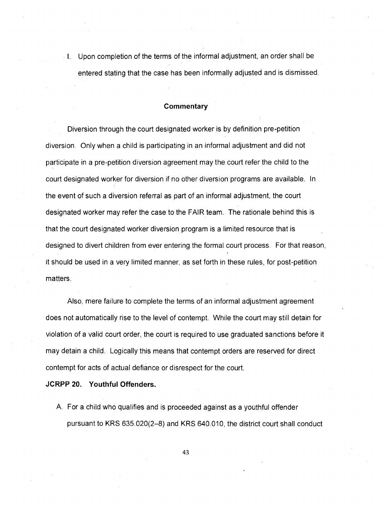Upon completion of the terms of the informal adjustment, an order shall be entered stating that the case has been informally adjusted and is dismissed.

### **Commentary**

Diversion through the court designated worker is by definition pre-petition diversion. Only when a child is participating in an informal adjustment and did not participate in a pre-petition diversion agreement may the court refer the child to the court designated worker for diversion if no other diversion programs are available. In the event of such a diversion referral as part of an informal adjustment, the court designated worker may refer the case to the FAIR team. The rationale behind this is that the court designated worker diversion program is a limited resource that is designed to divert children from ever entering the formal court process. For that reason, it should be used in a very limited manner, as set forth in these rules, for post-petition matters.

Also, mere failure to complete the terms of an informal adjustment agreement does not automatically rise to the level of contempt. While the court may still detain for violation of a valid court order, the court is required to use graduated sanctions before it may detain a child. Logically this means that contempt orders are reserved for direct contempt for acts of actual defiance or disrespect for the court.

**JCRPP 20. Youthful Offenders.** 

A. For a child who qualifies and is proceeded against as a youthful offender pursuant to KRS 635.020(2-8) and KRS 640.010, the district court shall conduct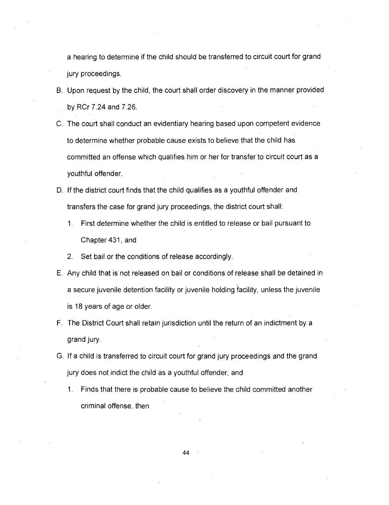a hearing to determine if the child should be transferred to circuit court for grand jury proceedings.

- B. Upon request by the child, the court shall order discovery in the manner provided by RCr 7.24 and 7.26.
- C. The court shall conduct an evidentiary hearing based upon competent evidence to determine whether probable cause exists to believe that the child has committed an offense which qualifies him or her for transfer to circuit court as a youthful offender.
- D. If the district court finds that the child qualifies as a youthful offender and transfers the case for grand jury proceedings, the district court shall:
	- 1. First determine whether the child is entitled to release or bail pursuant to Chapter 431, and
	- 2. Set bail or the conditions of release accordingly.
- E. Any child that is not released on bail or conditions of release shall be detained in a secure juvenile detention facility or juvenile holding facility, unless the juvenile is 18 years of age or older.
- F. The District Court shall retain jurisdiction until the return of an indictment by a grand jury.
- G. If a child is transferred to circuit court for grand jury proceedings and the grand jury does not indict the child as a youthful offender, and
	- 1. Finds that there is probable cause to believe the child committed another criminal offense, then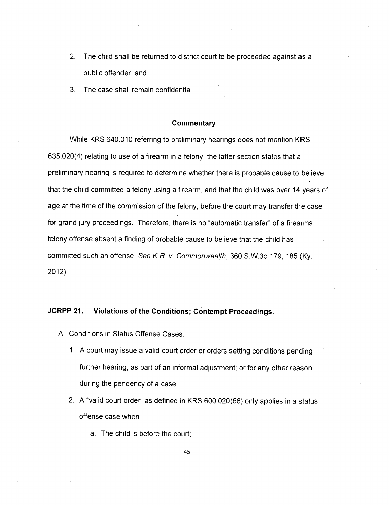- 2. The child shall be returned to district court to be proceeded against as a public offender, and
- 3. The case shall remain confidential.

#### **Commentary**

While KRS 640.010 referring to preliminary hearings does not mention KRS 635.020(4) relating to use of a firearm in a felony, the latter section states that a preliminary hearing is required to determine whether there is probable cause to believe that the child committed a felony using a firearm, and that the child was over 14 years of age at the time of the commission of the felony, before the court may transfer the case for grand jury proceedings. Therefore, there is no "automatic transfer" of a firearms felony offense absent a finding of probable cause to believe that the child has committed such an offense. See K.R. v. Commonwealth, 360 S.W.3d 179, 185 (Ky. 2012).

# **JCRPP 21. Violations of the Conditions; Contempt Proceedings.**

- A. Conditions in Status Offense Cases.
	- 1. A court may issue a valid court order or orders setting conditions pending further hearing; as part of an informal adjustment; or for any other reason during the pendency of a case.
	- 2. A "valid court order" as defined in KRS 600.020(66) only applies in a status offense case when
		- a. The child is before the court;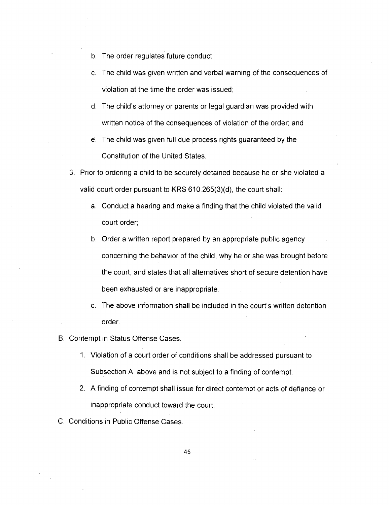- b. The order regulates future conduct;
- c. The child was given written and verbal warning of the consequences of violation at the time the order was issued;
- d. The child's attorney or parents or legal guardian was provided with written notice of the consequences of violation of the order; and
- e. The child was given full due process rights guaranteed by the Constitution of the United States.
- 3. Prior to ordering a child to be securely detained because he or she violated a valid court order pursuant to KRS 610.265(3)(d), the court shall:
	- a. Conduct a hearing and make a finding that the child violated the valid court order;
	- b. Order a written report prepared by an appropriate public agency concerning the behavior of the child, why he or she was brought before the court, and states that all alternatives short of secure detention have been exhausted or are inappropriate.
	- c. The above information shall be included in the court's written detention order.
- B. Contempt in Status Offense Cases.
	- 1. Violation of a court order of conditions shall be addressed pursuant to Subsection A. above and is not subject to a finding of contempt.
	- 2. A finding of contempt shall issue for direct contempt or acts of defiance or inappropriate conduct toward the court.
- C. Conditions in Public Offense Cases.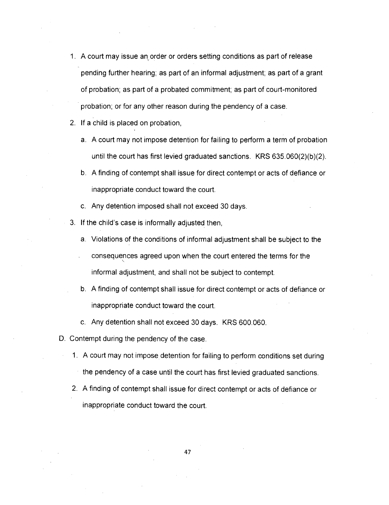- 1. A court may issue an, order or orders setting conditions as part of release pending further hearing; as part of an informal adjustment; as part of a grant of probation; as part of a probated commitment; as part of court-monitored probation; or for any other reason during the pendency of a case.
- 2. If a child is placed on probation,
	- a. A court may not impose detention for failing to perform a term of probation until the court has first levied graduated sanctions. KRS 635.060(2)(b)(2).
	- b. A finding of contempt shall issue for direct contempt or acts of defiance or inappropriate conduct toward the court.
	- c. Any detention imposed shall not exceed 30 days.
- 3. If the child's case is informally adjusted then,
	- a. Violations of the conditions of informal adjustment shall be subject to the
	- consequences agreed upon when the court entered the terms for the informal adjustment, and shall not be subject to contempt.
	- b. A finding of contempt shall issue for direct contempt or acts of defiance or inappropriate conduct toward the court.
	- c. Any detention shall not exceed 30 days. KRS 600.060.
- D. Contempt during the pendency of the case.
	- 1. A court may not impose detention for failing to perform conditions set during the pendency of a case until the court has first levied graduated sanctions.
	- 2. A finding of contempt shall issue for direct contempt or acts of defiance or inappropriate conduct toward the court.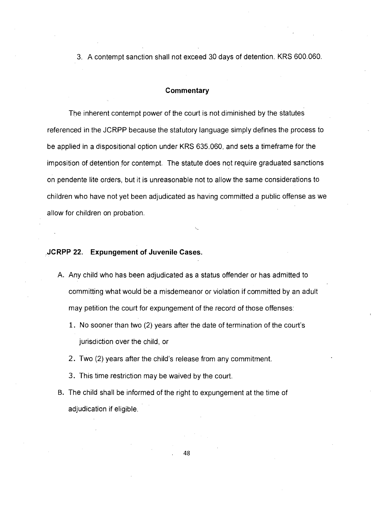3. A contempt sanction shall not exceed 30 days of detention. KRS 600.060.

# **Commentary**

The inherent contempt power of the court is not diminished by the statutes referenced in the JCRPP because the statutory language simply defines the process to be applied in a dispositional option under KRS 635.060, and sets a timeframe for the imposition of detention for contempt. The statute does not require graduated sanctions on pendente lite orders, but it is unreasonable not to allow the same considerations to children who have not yet been adjudicated as having committed a public offense as we allow for children on probation.

# **JCRPP 22. Expungement of Juvenile Cases.**

- A. Any child who has been adjudicated as a status offender or has admitted to committing what would be a misdemeanor or violation if committed by an adult may petition the court for expungement of the record of those offenses:
	- 1. No sooner than two (2) years after the date of termination of the court's jurisdiction over the child, or
	- 2. Two (2) years after the child's release from any commitment.
	- 3. This time restriction may be waived by the court.
- B. The child shall be informed of the right to expungement at the time of adjudication if eligible.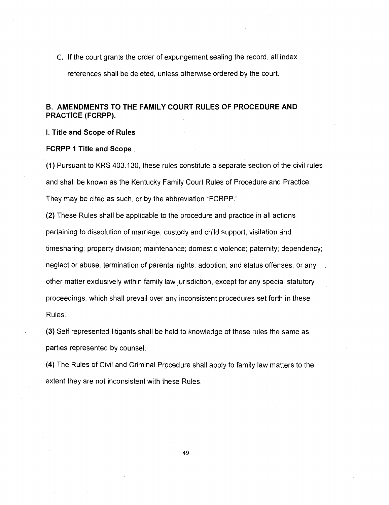C. If the court grants the order of expungement sealing the record, all index

references shall be deleted, unless otherwise ordered by the court.

# **B. AMENDMENTS TO THE FAMILY COURT RULES OF PROCEDURE AND PRACTICE (FCRPP).**

## **I. Title and Scope of Rules**

#### **FCRPP 1 Title and Scope**

(1) Pursuant to KRS 403.130, these rules constitute a separate section of the civil rules and shall be known as the Kentucky Family Court Rules of Procedure and Practice. They may be cited as such, or by the abbreviation "FCRPP."

(2) These Rules shall be applicable to the procedure and practice in all actions pertaining to dissolution of marriage; custody and child support; visitation and timesharing; property division; maintenance; domestic violence; paternity; dependency; neglect or abuse; termination of parental rights; adoption; and status offenses, or any other matter exclusively within family law jurisdiction, except for any special statutory proceedings, which shall prevail over any inconsistent procedures set forth in these Rules.

(3) Self represented litigants shall be held to knowledge of these rules the same as parties represented by counsel.

(4) The Rules of Civil and Criminal Procedure shall apply to family law matters to the extent they are not inconsistent with these Rules.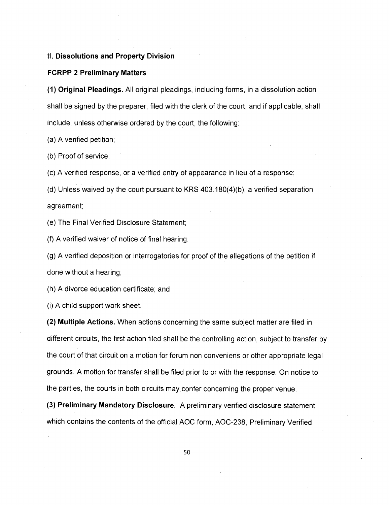## **II. Dissolutions and Property Division**

#### **FCRPP 2 Preliminary Matters**

**(1) Original Pleadings.** All original pleadings, including forms, in a dissolution action shall be signed by the preparer, filed with the clerk of the court, and if applicable, shall include, unless otherwise ordered by the court, the following:

(a) A verified petition;

(b) Proof of service;

(c) A verified response, or a verified entry of appearance in lieu of a response;

(d) Unless waived by the court pursuant to KRS 403.180(4)(b), a verified separation agreement;

(e) The Final Verified Disclosure Statement;

(f) A verified waiver of notice of final hearing;

(g) A verified deposition or interrogatories for proof of the allegations of the petition if done without a hearing;

(h) A divorce education certificate; and

(i) A child support work sheet.

**(2) Multiple Actions.** When actions concerning the same subject matter are filed in different circuits, the first action filed shall be the controlling action, subject to transfer by the court of that circuit on a motion for forum non conveniens or other appropriate legal grounds. A motion for transfer shall be filed prior to or with the response. On notice to the parties, the courts in both circuits may confer concerning the proper venue.

**(3) Preliminary Mandatory Disclosure.** A preliminary verified disclosure statement which contains the contents of the official AOC form, AOC-238, Preliminary Verified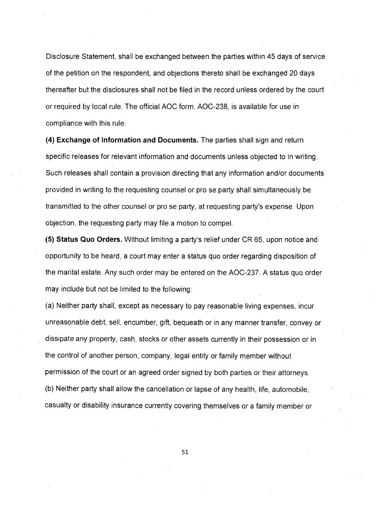Disclosure Statement, shall be exchanged between the parties within 45 days of service of the petition on the respondent, and objections thereto shall be exchanged 20 days thereafter but the disclosures shall not be filed in the record unless ordered by the court or required by local rule. The official AOC form, AOC-238, is available for use in compliance with this rule.

**(4) Exchange of Information and Documents.** The parties shall sign and return specific releases for relevant information and documents unless objected to in writing. Such releases shall contain a provision directing that any information and/or documents provided in writing to the requesting counsel or pro se party shall simultaneously be transmitted to the other counsel or pro se party, at requesting party's expense. Upon objection, the requesting party may file a motion to compel.

**(5) Status Quo Orders.** Without limiting a party's relief under CR 65, upon notice and opportunity to be heard, a court may enter a status quo order regarding disposition of the marital estate. Any such order may be entered on the AOC-237. A status quo order may include but not be limited to the following:

(a) Neither party shall, except as necessary to pay reasonable living expenses, incur unreasonable debt, sell, encumber, gift, bequeath or in any manner transfer, convey or dissipate any property, cash, stocks or other assets currently in their possession or in the control of another person, company, legal entity or family member without permission of the court or an agreed order signed by both parties or their attorneys. (b) Neither party shall allow the cancellation or lapse of any health, life, automobile, casualty or disability insurance currently covering themselves or a family member or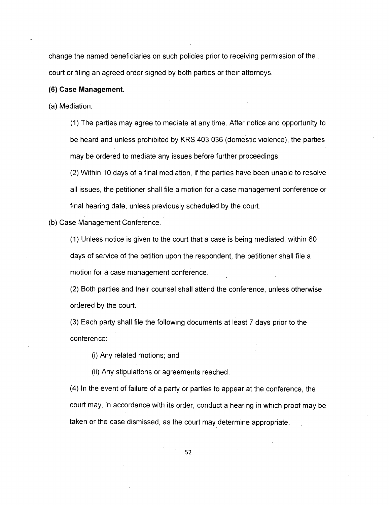change the named beneficiaries on such policies prior to receiving permission of the . court or filing an agreed order signed by both parties or their attorneys.

#### **(6) Case Management.**

(a) Mediation.

(1) The parties may agree to mediate at any time. After notice and opportunity to be heard and unless prohibited by KRS 403.036 (domestic violence), the parties may be ordered to mediate any issues before further proceedings.

(2) Within 10 days of a final mediation, if the parties have been unable to resolve all issues, the petitioner shall file a motion for a case management conference or final hearing date, unless previously scheduled by the court.

#### (b) Case Management Conference.

(1) Unless notice is given to the court that a case is being mediated, within 60 days of service of the petition upon the respondent, the petitioner shall file a motion for a case management conference.

(2) Both parties and their counsel shall attend the conference, unless otherwise ordered by the court.

(3) Each party shall file the following documents at least 7 days prior to the conference:

(i) Any related motions; and

(ii) Any stipulations or agreements reached.

(4) In the event of failure of a party or parties to appear at the conference, the court may, in accordance with its order, conduct a hearing in which proof may be taken or the case dismissed, as the court may determine appropriate.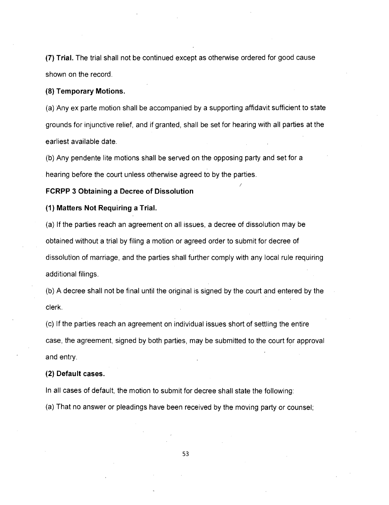**(7) Trial.** The trial shall not be continued except as otherwise ordered for good cause shown on the record.

#### **(8) Temporary Motions.**

(a) Any ex parte motion shall be accompanied by a supporting affidavit sufficient to state grounds for injunctive relief, and if granted, shall be set for hearing with all parties at the earliest available date.

(b) Any pendente lite motions shall be served on the opposing party and set for a hearing before the court unless otherwise agreed to by the parties.

#### **FCRPP 3 Obtaining a Decree of Dissolution**

# **(1) Matters Not Requiring a Trial.**

(a) If the parties reach an agreement on all issues, a decree of dissolution may be obtained without a trial by filing a motion or agreed order to submit for decree of dissolution of marriage, and the parties shall further comply with any local rule requiring additional filings.

(b) A decree shall not be final until the original is signed by the court and entered by the clerk.

(c) If the parties reach an agreement on individual issues short of settling the entire case, the agreement, signed by both parties, may be submitted to the court for approval and entry.

## **(2) Default cases.**

In all cases of default, the motion to submit for decree shall state the following:

(a) That no answer or pleadings have been received by the moving party or counsel;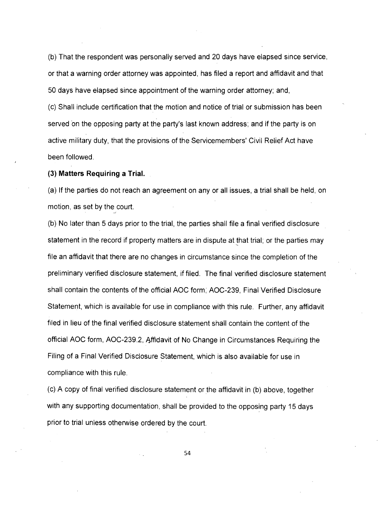(b) That the respondent was personally served and 20 days have elapsed since service, or that a warning order attorney was appointed, has filed a report and affidavit and that 50 days have elapsed since appointment of the warning order attorney; and,

(c) Shall include certification that the motion and notice of trial or submission has been served on the opposing party at the party's last known address; and if the party is on active military duty, that the provisions of the Servicemembers' Civil Relief Act have been followed.

**(3) Matters Requiring a Trial.** 

(a) If the parties do not reach an agreement on any or all issues, a trial shall be held, on motion, as set by the court.

(b) No later than 5 days prior to the trial, the parties shall file a final verified disclosure statement in the record if property matters are in dispute at that trial; or the parties may file an affidavit that there are no changes in circumstance since the completion of the preliminary verified disclosure statement, if filed. The final verified disclosure statement shall contain the contents of the official AOC form; AOC-239, Final Verified Disclosure Statement, which is available for use in compliance with this rule. Further, any affidavit filed in lieu of the final verified disclosure statement shall contain the content of the official AOC form, AOC-239.2, 4ffidavit of No Change in Circumstances Requiring the Filing of a Final Verified Disclosure Statement, which is also available for use in compliance with this rule.

(c) A copy of final verified disclosure statement or the affidavit in (b) above, together with any supporting documentation, shall be provided to the opposing party 15 days prior to trial unless otherwise ordered by the court.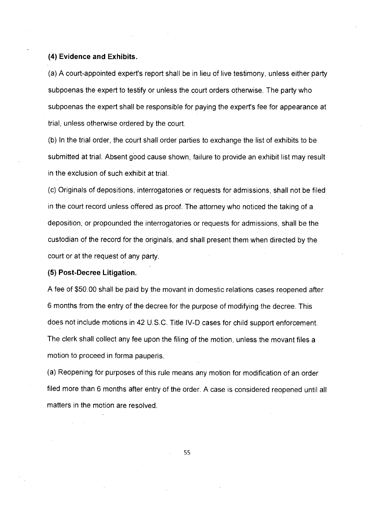## **(4) Evidence and Exhibits.**

(a) A court-appointed expert's report shall be in lieu of live testimony, unless either party subpoenas the expert to testify or unless the court orders otherwise. The party who subpoenas the expert shall be responsible for paying the expert's fee for appearance at trial, unless otherwise ordered by the court.

(b) In the trial order, the court shall order parties to exchange the list of exhibits to be submitted at trial. Absent good cause shown, failure to provide an exhibit list may result in the exclusion of such exhibit at trial.

(c) Originals of depositions, interrogatories or requests for admissions, shall not be filed in the court record unless offered as proof. The attorney who noticed the taking of a deposition, or propounded the interrogatories or requests for admissions, shall be the custodian of the record for the originals, and shall present them when directed by the court or at the request of any party.

# **(5) Post-Decree Litigation.**

A fee of \$50.00 shall be paid by the movant in domestic relations cases reopened after 6 months from the entry of the decree,for the purpose of modifying the decree. This does not include motions in 42 U.S.C. Title IV-D cases for child support enforcement. The clerk shall collect any fee upon the filing of the motion, unless the movant files a motion to proceed in forma pauperis.

(a) Reopening for purposes of this rule means any motion for modification of an order filed more than 6 months after entry of the order. A case is considered reopened until all matters in the motion are resolved.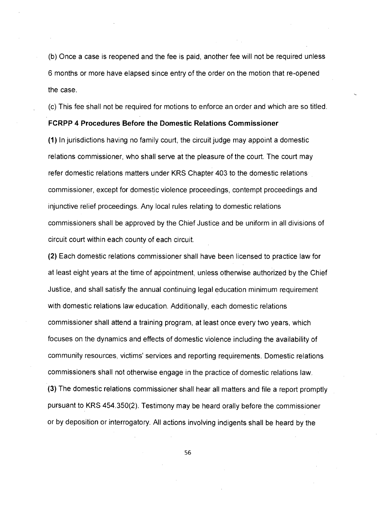(b) Once a case is reopened and the fee is paid, another fee will not be required unless 6 months or more have elapsed since entry of the order on the motion that re-opened the case.

(c) This fee shall not be required for motions to enforce an order and which are so titled.

## **FCRPP 4 Procedures Before the Domestic Relations Commissioner**

(1) In jurisdictions having no family court, the circuit judge may appoint a domestic relations commissioner, who shall serve at the pleasure of the court. The court may refer domestic relations matters under KRS Chapter 403 to the domestic relations commissioner, except for domestic violence proceedings, contempt proceedings and injunctive relief proceedings. Any local rules relating to domestic relations commissioners shall be approved by the Chief Justice and be uniform in all divisions of circuit court within each county of each circuit.

(2) Each domestic relations commissioner shall have been licensed to practice law for at least eight years at the time of appointment, unless otherwise authorized by the Chief Justice, and shall satisfy the annual continuing legal education minimum requirement with domestic relations law education. Additionally, each domestic relations commissioner shall attend a training program, at least once every two years, which focuses on the dynamics and effects of domestic violence including the availability of community resources, victims' services and reporting requirements. Domestic relations commissioners shall not otherwise engage in the practice of domestic relations law. (3) The domestic relations commissioner shall hear all matters and file a report promptly pursuant to KRS 454.350(2). Testimony may be heard orally before the commissioner or by deposition or interrogatory. All actions involving indigents shall be heard by the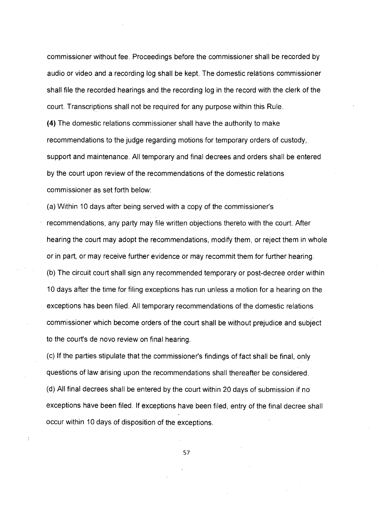commissioner without fee. Proceedings before the commissioner shall be recorded by audio or video and a recording log shall be kept. The domestic relations commissioner shall file the recorded hearings and the recording log in the record with the clerk of the court. Transcriptions shall not be required for any purpose within this Rule.

**(4)** The domestic relations commissioner shall have the authority to make recommendations to the judge regarding motions for temporary orders of custody, support and maintenance. All temporary and final decrees and orders shall be entered by the court upon review of the recommendations of the domestic relations commissioner as set forth below:

(a) Within 10 days after being served with a copy of the commissioner's recommendations, any party may file written objections thereto with the court. After hearing the court may adopt the recommendations, modify them, or reject them in whole or in part, or may receive further evidence or may recommit them for further hearing. (b) The circuit court shall sign any recommended temporary or post-decree order within 10 days after the time for filing exceptions has run unless a motion for a hearing on the exceptions has been filed. All temporary recommendations of the domestic relations commissioner which become orders of the court shall be without prejudice and subject to the court's de novo review on final hearing.

(c) If the parties stipulate that the commissioner's findings of fact shall be final, only questions of law arising upon the recommendations shall thereafter be considered. (d) All final decrees shall be entered by the court within 20 days of submission if no exceptions have been filed. If exceptions have been filed, entry of the final decree shall occur within 10 days of disposition of the exceptions.

57

 $\ddot{\cdot}$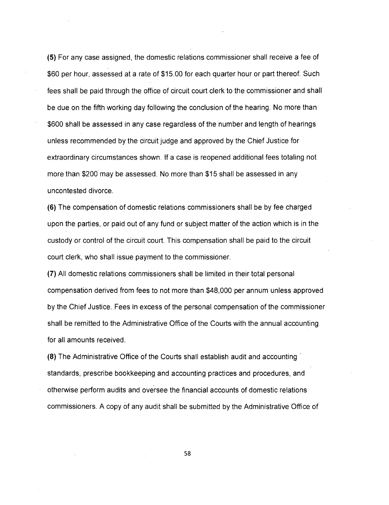(5) For any case assigned, the domestic relations commissioner shall receive a fee of \$60 per hour, assessed at a rate of \$15.00 for each quarter hour or part thereof. Such fees shall be paid through the office of circuit court clerk to the commissioner and shall be due on the fifth working day following the conclusion of the hearing. No more than \$600 shall be assessed in any case regardless of the number and length of hearings unless recommended by the circuit judge and approved by the Chief Justice for extraordinary circumstances shown. If a case is reopened additional fees totaling not more than \$200'may be assessed. No more than \$15 shall be assessed in any uncontested divorce.

(6) The compensation of domestic relations commissioners shall be by fee charged upon the parties, or paid out of any fund or subject matter of the action which is in the custody or control of the circuit court. This compensation shall be paid to the circuit court clerk, who shall issue payment to the commissioner.

(7) All domestic relations commissioners shall be limited in their total personal compensation derived from fees to not more than \$48,000 per annum unless approved by the Chief Justice. Fees in excess of the personal compensation of the commissioner shall be remitted to the Administrative Office of the Courts with the annual accounting for all amounts received.

(8) The Administrative Office of the Courts shall establish audit and accounting standards, prescribe bookkeeping and accounting practices and procedures, and otherwise perform audits and oversee the financial accounts of domestic relations commissioners. A copy of any audit shall be submitted by the Administrative Office of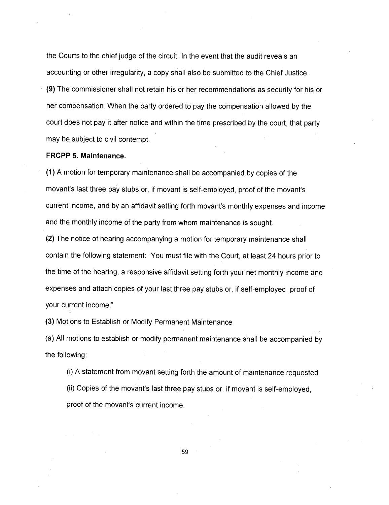the Courts to the chief judge of the circuit. In the event that the audit reveals an accounting or other irregularity, a copy shall also be submitted to the Chief Justice. **(9)** The commissioner shall not retain his or her recommendations as security for his or her compensation. When the party ordered to pay the compensation allowed by the court does not pay it after notice and within the time prescribed by the court, that party may be subject to civil contempt.

## **FRCPP 5. Maintenance.**

(1) A motion for temporary maintenance shall be accompanied by copies of the movant's last three pay stubs or, if movant is self-employed, proof of the movant's current income, and by an affidavit setting forth movant's monthly expenses and income and the monthly income of the party from whom maintenance is sought.

(2) The notice of hearing accompanying a motion for temporary maintenance shall contain the following statement: "You must file with the Court, at least 24 hours prior to the time of the hearing, a responsive affidavit setting forth your net monthly income and expenses and attach copies of your last three pay stubs or, if self-employed, proof of your current income."

(3) Motions to Establish or Modify Permanent Maintenance

(a) All motions to establish or modify permanent maintenance shall be accompanied by the following:

(i) A statement from movant setting forth the amount of maintenance requested. (ii) Copies of the movant's last three pay stubs or, if movant is self-employed,

proof of the movant's current income.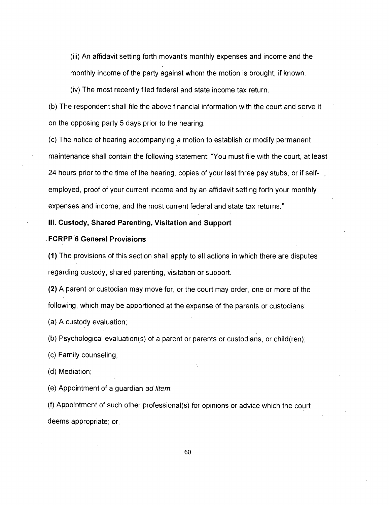(iii) An affidavit setting forth movant's monthly expenses and income and the monthly income of the party against whom the motion is brought, if known.

(iv) The most recently filed federal and state income tax return.

(b) The respondent shall file the above financial information with the court and serve it on the opposing party 5 days prior to the hearing.

(c) The notice of hearing accompanying a motion to establish or modify permanent maintenance shall contain the following statement: "You must file with the court, at least 24 hours prior to the time of the hearing, copies of your last three pay stubs, or if selfemployed, proof of your current income and by an affidavit setting forth your monthly expenses and income, and the most current federal and state tax returns."

## **Ill. Custody, Shared Parenting, Visitation and Support**

#### **.FCRPP 6 General Provisions**

(1) The provisions of this section shall apply to all actions in which there are disputes regarding custody, shared parenting, visitation or support.

(2) A parent or custodian may move for, or the court may order, one or more of the following, which may be apportioned at the expense of the parents or custodians:

(a) A custody evaluation;

(b) Psychological evaluation(s) of a parent or parents or custodians, or child(ren);

(c) Family counseling;

(d) Mediation;

(e) Appointment of a guardian ad litem;

(f) Appointment of such other professional(s) for opinions or advice which the court deems appropriate; or,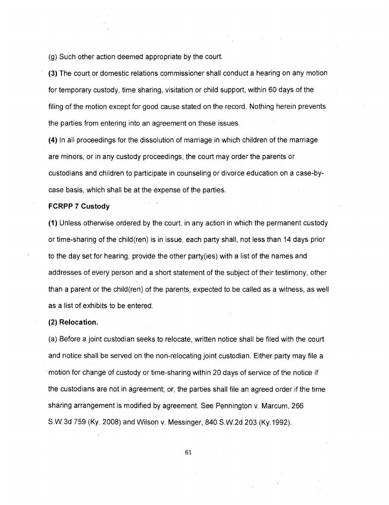(g) Such other action deemed appropriate by the court.

(3) The court or domestic relations commissioner shall conduct a hearing on any motion for temporary custody, time sharing, visitation or child support, within 60 days of the filing of the motion except for good cause stated on the record. Nothing herein prevents the parties from entering into an agreement on these issues.

(4) In all proceedings for the dissolution of marriage in which children of the marriage are minors, or in any custody proceedings, the court may order the parents or custodians and children to participate in counseling or divorce education on a case-bycase basis, which shall be at the expense of the parties.

#### **FCRPP 7 Custody**

(1) Unless otherwise ordered by the court, in any action in which the permanent custody or time-sharing of the child(ren) is in issue, each party shall, not less than 14 days prior to the day set for hearing, provide the other party(ies) with a list of the names and addresses of every person and a short statement of the subject of their testimony, other than a parent or the child(ren) of the parents, expected to be called as a witness, as well as a list of exhibits to be entered.

#### **(2) Relocation.**

(a) Before a joint custodian seeks to relocate, written notice shall be filed with the court and notice shall be served on the non-relocating joint custodian. Either party may file a motion for change of custody or time-sharing within 20 days of service of the notice if the custodians are not in agreement; or, the parties shall file an agreed order if the time sharing arrangement is modified by agreement. See Pennington v. Marcum, 266 S.W.3d 759 (Ky. 2008) and Wilson v. Messinger, 840 S.W.2d 203 (Ky.1992).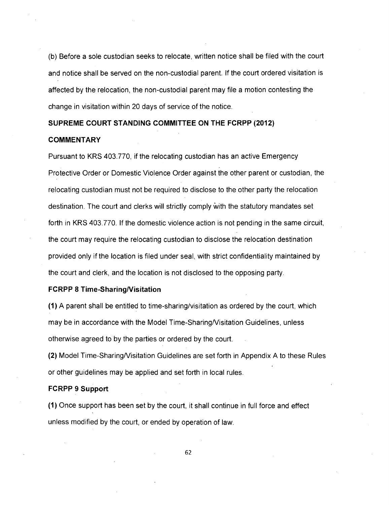(b) Before a sole custodian seeks to relocate, written notice shall be filed with the court and notice shall be served on the non-custodial parent. If the court ordered visitation is affected by the relocation, the non-custodial parent may file a motion contesting the change in visitation within 20 days of service of the notice.

# SUPREME COURT STANDING COMMITTEE ON THE FCRPP (2012)

#### **COMMENTARY**

Pursuant to KRS 403.770, if the relocating custodian has an active Emergency Protective Order or Domestic Violence Order against the other parent or custodian, the relocating custodian must not be required to disclose to the other party the relocation destination. The court and clerks will strictly comply With the statutory mandates set forth in KRS 403.770. If the domestic violence action is not pending in the same circuit, the court may require the relocating custodian to disclose the relocation destination provided only if the location is filed under seal, with strict confidentiality maintained by the court and clerk, and the location is not disclosed to the opposing party.

## **FCRPP 8 Time-Sharing/Visitation**

(1) A parent shall be entitled to time-sharing/visitation as ordered by the court, which may be in accordance with the Model Time-Sharing/Visitation Guidelines, unless otherwise agreed to by the parties or ordered by the court.

(2) Model Time-SharingNisitation Guidelines are set forth in Appendix A to these Rules or other guidelines may be applied and set forth in local rules.

## **FCRPP 9 Support**

**(1)** Once support has been set by the court, it shall continue in full force and effect unless modified by the court, or ended by operation of law.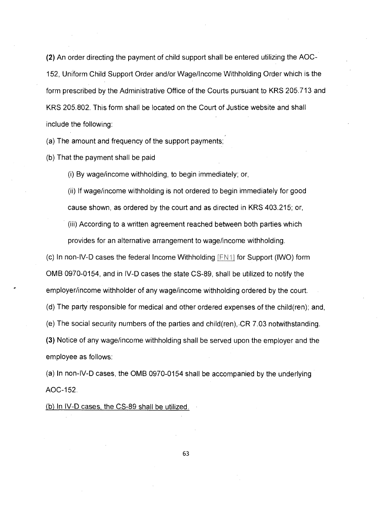**(2)** An order directing the payment of child support shall be entered utilizing the AOC-152, Uniform Child Support Order and/or Wage/Income Withholding Order which is the form prescribed by the Administrative Office of the Courts pursuant to KRS 205.713 and KRS 205.802. This form shall be located on the Court of Justice website and shall include the following:

(a) The amount and frequency of the support payments;

(b) That the payment shall be paid

(i) By wage/income withholding, to begin immediately; or,

(ii) If wage/income withholding is not ordered to begin immediately for good cause shown, as ordered by the court and as directed in KRS 403.215; or,

(iii) According to a written agreement reached between both parties which provides for an alternative arrangement to wage/income withholding.

(c) In non-IV-D cases the federal Income Withholding  $[FN1]$  for Support (IWO) form OMB 0970-0154, and in IV-D cases the state CS-89, shall be utilized to notify the employer/income withholder of any wage/income withholding ordered by the court. (d) The party responsible for medical and other ordered expenses of the child(ren); and, (e) The social security numbers of the parties and child(ren),.CR 7.03 notwithstanding. **(3)** Notice of any wage/income withholding shall be served upon the employer and the employee as follows:

(a) In non-IV-D cases, the OMB 0970-0154 shall be accompanied by the underlying AOC-152.

(b) In IV-D cases, the CS-89 shall be utilized.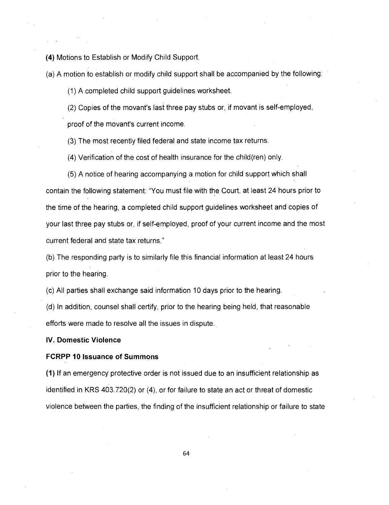**(4)** Motions to Establish or Modify Child Support.

(a) A motion to establish or modify child support shall be accompanied by the following:

(1) A completed child support guidelines worksheet.

(2) Copies of the movant's last three pay stubs or, if movant is self-employed,

proof of the movant's current income.

(3) The most recently filed federal and state income tax returns.

(4) Verification of the cost of health insurance for the child(ren) only.

(5) A notice of hearing accompanying a motion for child support which shall contain the following statement: "You must file with the Court, at least 24 hours prior to the time of the hearing, a completed child support guidelines worksheet and copies of your last three pay stubs or, if self-employed, proof of your current income and the most current federal and state tax returns."

(b) The responding party is to similarly file this financial information at least 24 hours prior to the hearing.

(c) All parties shall exchange said information 10 days prior to the hearing.

(d) In addition, counsel shall certify, prior to the hearing being held, that reasonable efforts were made to resolve all the issues in dispute.

#### **IV. Domestic Violence**

## **FCRPP 10 Issuance of Summons**

**(1)** If an emergency protective order is not issued due to an insufficient relationship as identified in KRS 403.720(2) or (4), or for failure to state an act or threat of domestic violence between the parties, the finding of the insufficient relationship or failure to state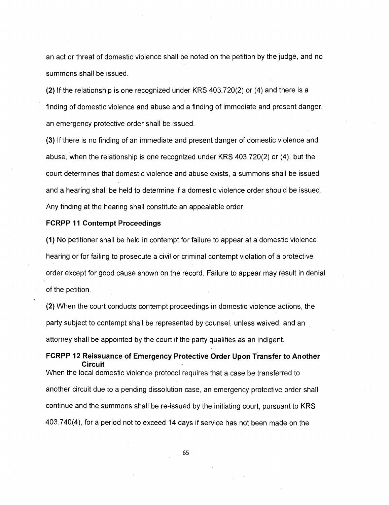an act or threat of domestic violence shall be noted on the petition by the judge, and no summons shall be issued.

(2) If the relationship is one recognized under KRS 403.720(2) or (4) and there is a finding of domestic violence and abuse and a finding of immediate and present danger, an emergency protective order shall be issued.

(3) If there is no finding of an immediate and present danger of domestic violence and abuse, when the relationship is one recognized under KRS 403.720(2) or (4), but the court determines that domestic violence and abuse exists, a summons shall be issued and a hearing shall be held to determine if a domestic violence order should be issued. Any finding at the hearing shall constitute an appealable order.

#### **FCRPP 11 Contempt Proceedings**

(1) No petitioner shall be held in contempt for failure to appear at a domestic violence hearing or for failing to prosecute a civil or criminal contempt violation of a protective order except for good cause shown on the record. Failure to appear may result in denial of the petition.

(2) When the court conducts contempt proceedings in domestic violence actions, the party subject to contempt shall be represented by counsel, unless waived, and an attorney shall be appointed by the court if the party qualifies as an indigent.

**FCRPP 12 Reissuance of Emergency Protective Order Upon Transfer to Another Circuit**  When the local domestic violence protocol requires that a case be transferred to another circuit due to a pending dissolution case, an emergency protective order shall continue and the summons shall be re-issued by the initiating court, pursuant to KRS 403.740(4), for a period not to exceed 14 days if service has not been made on the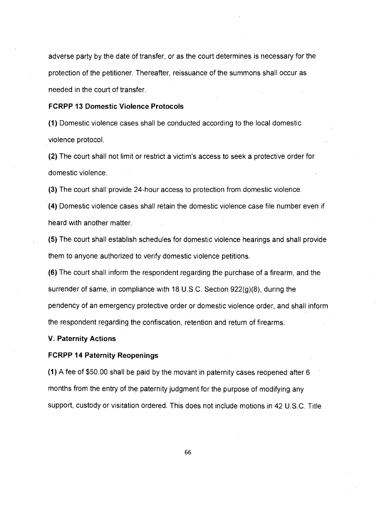adverse party by the date of transfer, or as the court determines is necessary for the protection of the petitioner. Thereafter, reissuance of the summons shall occur as needed in the court of transfer.

#### **FCRPP 13 Domestic Violence Protocols**

(1) Domestic violence cases shall be conducted according to the local domestic violence protocol.

(2) The court shall not limit or restrict a victim's access to seek a protective order for domestic violence.

(3) The court shall provide 24-hour access to protection from domestic violence.

(4) Domestic violence cases shall retain the domestic violence case file number even if heard with another matter.

(5) The court shall establish schedules for domestic violence hearings and shall provide them to anyone authorized to verify domestic violence petitions.

(6) The court shall inform the respondent regarding the purchase of a firearm, and the surrender of same, in compliance with 18 U.S.C. Section 922(g)(8), during the pendency of an emergency protective order or domestic violence order, and shall inform the respondent regarding the confiscation, retention and return of firearms.

## **V. Paternity Actions**

## **FCRPP 14 Paternity Reopenings**

**(1)** A fee of \$50.00 shall be paid by the movant in paternity cases reopened after 6 months from the entry of the paternity judgment for the purpose of modifying any support, custody or visitation ordered. This does not include motions in 42 U.S.C. Title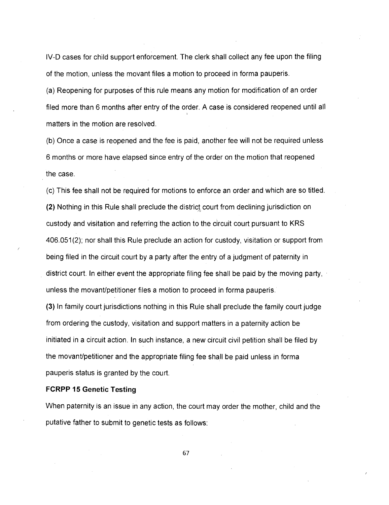IV-D cases for child support enforcement. The clerk shall collect any fee upon the filing of the motion, unless the movant files a motion to proceed in forma pauperis.

(a) Reopening for purposes of this rule means any motion for modification of an order filed more than 6 months after entry of the order. A case is considered reopened until all matters in the motion are resolved.

(b) Once a case is reopened and the fee is paid, another fee will not be required unless 6 months or more have elapsed since entry of the order on the motion that reopened the case.

(c) This fee shall not be required for motions to enforce an order and which are so titled. (2) Nothing in this Rule shall preclude the district court from declining jurisdiction on custody and visitation and referring the action to the circuit court pursuant to KRS 406.051(2); nor shall this Rule preclude an action for custody, visitation or support from being filed in the circuit court by a party after the entry of a judgment of paternity in district court. In either event the appropriate filing fee shall be paid by the moving party, unless the movant/petitioner files a motion to proceed in forma pauperis.

(3) In family court jurisdictions nothing in this Rule shall preclude the family court judge from ordering the custody, visitation and support matters in a paternity action be initiated in a circuit action. In such instance, a new circuit civil petition shall be filed by the movant/petitioner and the appropriate filing fee shall be paid unless in forma pauperis status is granted by the court.

## **FCRPP 15 Genetic Testing**

When paternity is an issue in any action, the court may order the mother, child and the putative father to submit to genetic tests as follows: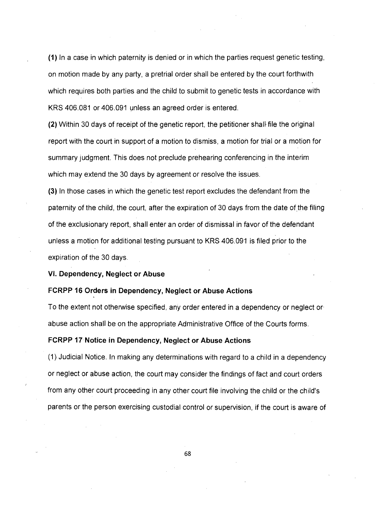(1) In a case in which paternity is denied or in which the parties request genetic testing, on motion made by any party, a pretrial order shall be entered by the court forthwith which requires both parties and the child to submit to genetic tests in accordance with KRS 406.081 or 406.091 unless an agreed order is entered.

(2) Within 30 days of receipt of the genetic report, the petitioner shall file the original report with the court in support of a motion to dismiss, a motion for trial or a motion for summary judgment. This does not preclude prehearing conferencing in the interim which may extend the 30 days by agreement or resolve the issues.

(3) In those cases in which the genetic test report excludes the defendant from the paternity of the child, the court, after the expiration of 30 days from the date of the filing of the exclusionary report, shall enter an order of dismissal in favor of the defendant unless a motion for additional testing pursuant to KRS 406.091 is filed prior to the expiration of the 30 days.

**VI. Dependency, Neglect or Abuse** 

#### **FCRPP 16 Orders in Dependency, Neglect or Abuse Actions**

To the extent not otherwise specified, any order entered in a dependency or neglect or abuse action shall be on the appropriate Administrative Office of the Courts forms.

# **FCRPP 17 Notice in Dependency, Neglect or Abuse Actions**

(1) Judicial Notice. In making any determinations with regard to a child in a dependency or neglect or abuse action, the court may consider the findings of fact and court orders from any other court proceeding in any other court file involving the child or the child's parents or the person exercising custodial control or supervision, if the court is aware of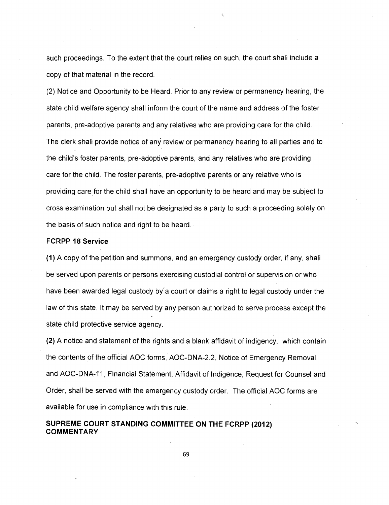such proceedings. To the extent that the court relies on such, the court shall include a copy of that material in the record.

(2) Notice and Opportunity to be Heard. Prior to any review or permanency hearing, the state child welfare agency shall inform the court of the name and address of the foster parents, pre-adoptive parents and any relatives who are providing care for the child. The clerk shall provide notice of any review or permanency hearing to all parties and to the child's foster parents, pre-adoptive parents, and any relatives who are providing care for the child. The foster parents, pre-adoptive parents or any relative who is providing care for the child shall have an opportunity to be heard and may be subject to cross examination but shall not be designated as a party to such a proceeding solely on the basis of such notice and right to be heard.

#### **FCRPP 18 Service**

(1) A copy of the petition and summons, and an emergency custody order, if any, shall be served upon parents or persons exercising custodial control or supervision or who have been awarded legal custody by a court or claims a right to legal custody under the law of this state. It may be served by any person authorized to serve process except the state child protective service agency.

(2) A notice and statement of the rights and a blank affidavit of indigency, which contain the contents of the official AOC forms, AOC-DNA-2.2, Notice of Emergency Removal, and AOC-DNA-11, Financial Statement, Affidavit of Indigence, Request for Counsel and Order, shall be served with the emergency custody order. The official AOC forms are available for use in compliance with this rule.

# **SUPREME COURT STANDING COMMITTEE ON THE FCRPP (2012) COMMENTARY**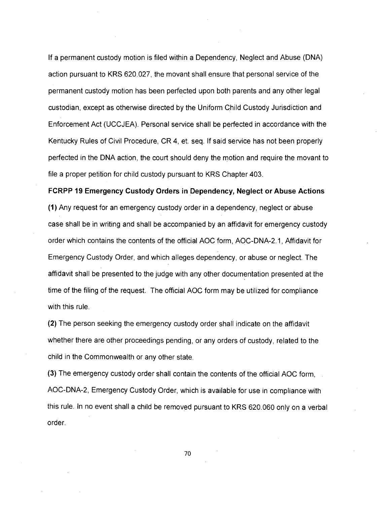If a permanent custody motion is filed within a Dependency, Neglect and Abuse (DNA) action pursuant to KRS 620.027, the movant shall ensure that personal service of the permanent custody motion has been perfected upon both parents and any other legal custodian, except as otherwise directed by the Uniform Child Custody Jurisdiction and Enforcement Act (UCCJEA). Personal service shall be perfected in accordance with the Kentucky Rules of Civil Procedure, CR 4, et. seq. If said service has not been properly perfected in the DNA action, the court should deny the motion and require the movant to file a proper petition for child custody pursuant to KRS Chapter 403.

**FCRPP 19 Emergency Custody Orders in Dependency, Neglect or Abuse Actions**  (1) Any request for an emergency custody order in a dependency, neglect or abuse case shall be in writing and shall be accompanied by an affidavit for emergency custody order which contains the contents of the official AOC form, AOC-DNA-2.1, Affidavit for Emergency Custody Order, and which alleges dependency, or abuse or neglect. The affidavit shall be presented to the judge with any other documentation presented at the time of the filing of the request. The official AOC form may be utilized for compliance with this rule.

(2) The person seeking the emergency custody order shall indicate on the affidavit whether there are other proceedings pending, or any orders of custody, related to the child in the Commonwealth or any other state.

(3) The emergency custody order shall contain the contents of the official AOC form, AOC-DNA-2, Emergency Custody Order, which is available for use in compliance with this rule. In no event shall a child be removed pursuant to KRS 620.060 only on a verbal order.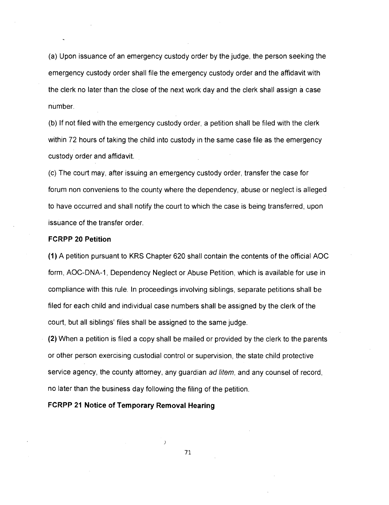(a) Upon issuance of an emergency custody order by the judge, the person seeking the emergency custody order shall file the emergency custody order and the affidavit with the clerk no later than the close of the next work day and the clerk shall assign a case number.

(b) If not filed with the emergency custody order, a petition shall be filed with the clerk within 72 hours of taking the child into custody in the same case file as the emergency custody order and affidavit.

(c) The court may, after issuing an emergency custody order, transfer the case for forum non conveniens to the county where the dependency, abuse or neglect is alleged to have occurred and shall notify the court to which the case is being transferred, upon issuance of the transfer order.

## **FCRPP 20 Petition**

(1) A petition pursuant to KRS Chapter 620 shall contain the contents of the official AOC form, AOC-DNA-1, Dependency Neglect or Abuse Petition, which is available for use in compliance with this rule. In proceedings involving siblings, separate petitions shall be filed for each child and individual case numbers shall be assigned by the clerk of the court, but all siblings' files shall be assigned to the same judge.

(2) When a petition is filed a copy shall be mailed or provided by the clerk to the parents or other person exercising custodial control or supervision, the state child protective service agency, the county attorney, any guardian ad litem, and any counsel of record, no later than the business day following the filing of the petition.

# **FCRPP 21 Notice of Temporary Removal Hearing**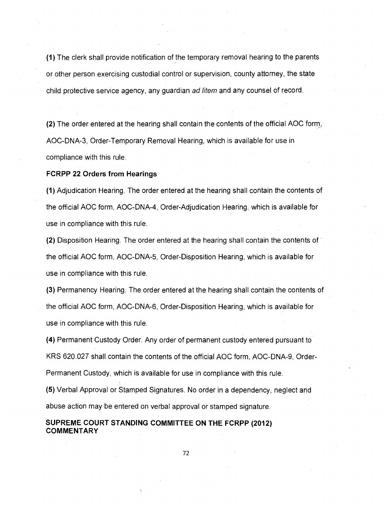(1) The clerk shall provide notification of the temporary removal hearing to the parents or other person exercising custodial control or supervision, county attorney, the state child protective service agency, any guardian ad litem and any counsel of record.

(2) The order entered at the hearing shall contain the contents of the official AOC form, AOC-DNA-3, Order-Temporary Removal Hearing, which is available for use in compliance with this rule.

### **FCRPP 22 Orders from Hearings**

(1) Adjudication Hearing. The order entered at the hearing shall contain the contents of the official AOC form, AOC-DNA-4, Order-Adjudication Hearing, which is available for use in compliance with this rule.

(2) Disposition Hearing. The order entered at the hearing shall contain the contents of the official AOC form, AOC-DNA-5, Order-Disposition Hearing, which is available for use in compliance with this rule.

(3) Permanency Hearing. The order entered at the hearing shall contain the contents of the official AOC form, AOC-DNA-6, Order-Disposition Hearing, which is available for use in compliance with this rule.

(4) Permanent Custody Order. Any order of permanent custody entered pursuant to KRS 620.027 shall contain the contents of the official AOC form, AOC-DNA-9, Order-Permanent Custody, which is available for use in compliance with this rule.

(5) Verbal Approval or Stamped Signatures. No order in a dependency, neglect and abuse action may be entered on verbal approval or stamped signature.

**SUPREME COURT STANDING COMMITTEE ON THE FCRPP (2012) COMMENTARY**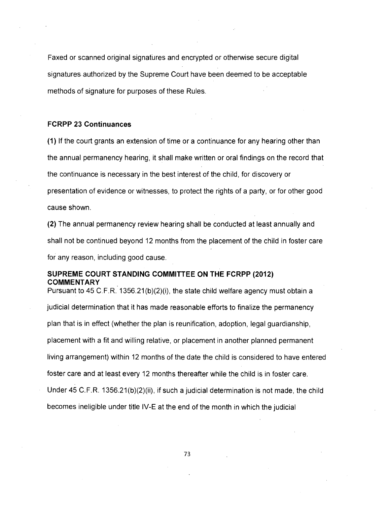Faxed or scanned original signatures and encrypted or otherwise secure digital signatures authorized by the Supreme Court have been deemed to be acceptable methods of signature for purposes of these Rules.

# **FCRPP 23 Continuances**

(1) If the court grants an extension of time or a continuance for any hearing other than the annual permanency hearing, it shall make written or oral findings on the record that the continuance is necessary in the best interest of the child, for discovery or presentation of evidence or witnesses, to protect the rights of a party, or for other good cause shown.

(2) The annual permanency review hearing shall be conducted at least annually and shall not be continued beyond 12 months from the placement of the child in foster care for any reason, including good cause.

# **SUPREME COURT STANDING COMMITTEE ON THE FCRPP (2012) COMMENTARY**

Pursuant to 45 C.F.R. 1356.21(b)(2)(i), the state child welfare agency must obtain a judicial determination that it has made reasonable efforts to finalize the permanency plan that is in effect (whether the plan is reunification, adoption, legal guardianship, placement with a fit and willing relative, or placement in another planned permanent living arrangement) within 12 months of the date the child is considered to have entered foster care and at least every 12 months thereafter while the child is in foster care. Under 45 C.F.R. 1356.21(b)(2)(ii), if such a judicial determination is not made, the child becomes ineligible under title IV-E at the end of the month in which the judicial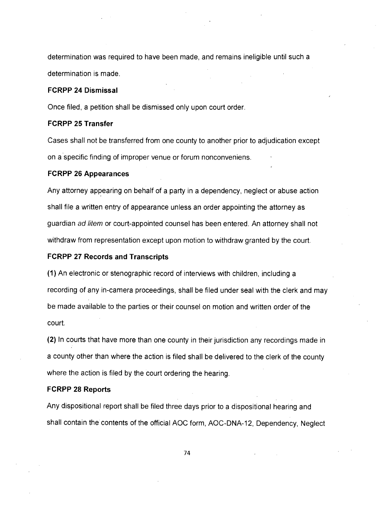determination was required to have been made, and remains ineligible until such a determination is made.

#### **FCRPP 24 Dismissal**

Once filed, a petition shall be dismissed only upon court order.

# **FCRPP 25 Transfer**

Cases shall not be transferred from one county to another prior to adjudication except on a specific finding of improper venue or forum nonconveniens.

# **FCRPP 26 Appearances**

Any attorney appearing on behalf of a party in a dependency, neglect or abuse action shall file a written entry of appearance unless an order appointing the attorney as guardian ad litem or court-appointed counsel has been entered. An attorney shall not withdraw from representation except upon motion to withdraw granted by the court.

# **FCRPP 27 Records and Transcripts**

(1) An electronic or stenographic record of interviews with children, including a recording of any in-camera proceedings, shall be filed under seal with the clerk and may be made available to the parties or their counsel on motion and written order of the court.

(2) In courts that have more than one county in their jurisdiction any recordings made in a county other than where the action is filed shall be delivered to the clerk of the county where the action is filed by the court ordering the hearing.

#### **FCRPP 28 Reports**

Any dispositional report shall be filed three days prior to a dispositional hearing and shall contain the contents of the official AOC form, AOC-DNA-12, Dependency, Neglect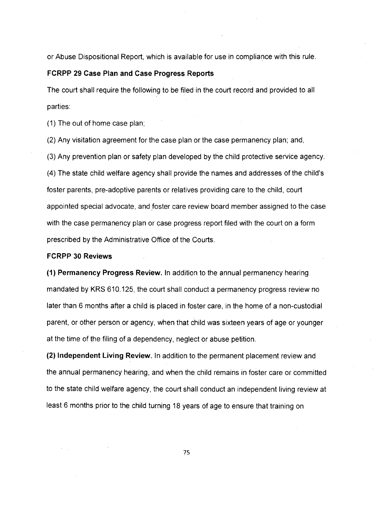or Abuse Dispositional Report, which is available for use in compliance with this rule.

# **FCRPP 29 Case Plan and Case Progress Reports**

The court shall require the following to be filed in the court record and provided to all parties:

(1) The out of home case plan;

(2) Any visitation agreement for the case plan or the case permanency plan; and,

(3) Any prevention plan or safety plan developed by the child protective service agency. (4) The state child welfare agency shall provide the names and addresses of the child's foster parents, pre-adoptive parents or relatives providing care to the child, court appointed special advocate, and foster care review board member assigned to the case with the case permanency plan or case progress report filed with the court on a form prescribed by the Administrative Office of the Courts.

#### **FCRPP 30 Reviews**

**(1) Permanency Progress Review.** In addition to the annual permanency hearing mandated by KRS 610.125, the court shall conduct a permanency progress review no later than 6 months after a child is placed in foster care, in the home of a non-custodial parent, or other person or agency, when that child was sixteen years of age or younger at the time of the filing of a dependency, neglect or abuse petition.

**(2) Independent Living Review.** In addition to the permanent placement review and the annual permanency hearing, and when the child remains in foster care or committed to the state child welfare agency, the court shall conduct an independent living review at least 6 months prior to the child turning 18 years of age to ensure that training on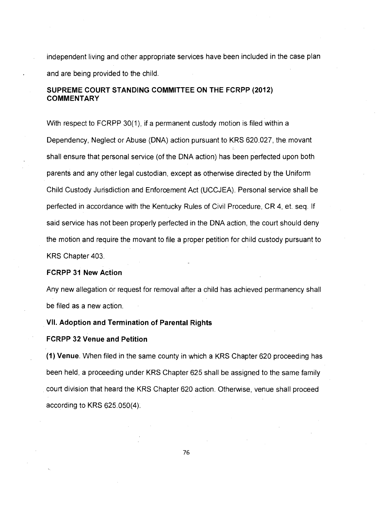independent living and other appropriate services have been included in the case plan and are being provided to the child.

# **SUPREME COURT STANDING COMMITTEE ON THE FCRPP (2012) COMMENTARY**

With respect to FCRPP 30(1), if a permanent custody motion is filed within a Dependency, Neglect or Abuse (DNA) action pursuant to KRS 620.027, the movant shall ensure that personal service (of the DNA action) has been perfected upon both parents and any other legal custodian, except as otherwise directed by the Uniform Child Custody Jurisdiction and Enforcement Act (UCCJEA). Personal service shall be perfected in accordance with the Kentucky Rules of Civil Procedure, CR 4, et. seq. If said service has not been properly perfected in the DNA action, the court should deny the motion and require the movant to file a proper petition for child custody pursuant to KRS Chapter 403.

#### **FCRPP 31 New Action**

Any new allegation or request for removal after a child has achieved permanency shall be filed as a new action.

# **VII. Adoption and Termination of Parental Rights**

#### **FCRPP 32 Venue and Petition**

**(1) Venue.** When filed in the same county in which a KRS Chapter 620 proceeding has been held, a proceeding under KRS Chapter 625 shall be assigned to the same family court division that heard the KRS Chapter 620 action. Otherwise, venue shall proceed according to KRS 625.050(4).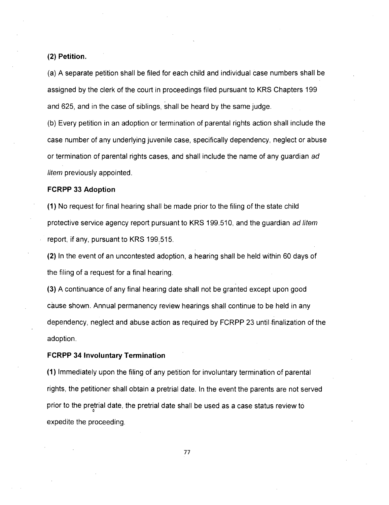**(2) Petition.** 

(a) A separate petition shall be filed for each child and individual case numbers shall be assigned by the clerk of the court in proceedings filed pursuant to KRS Chapters 199 and 625, and in the case of siblings, shall be heard by the same judge.

(b) Every petition in an adoption or termination of parental rights action shall include the case number of any underlying juvenile case, specifically dependency, neglect or abuse or termination of parental rights cases, and shall include the name of any guardian ad litem previously appointed.

#### **FCRPP 33 Adoption**

(1) No request for final hearing shall be made prior to the filing of the state child protective service agency report pursuant to KRS 199.510, and the guardian ad litem report, if any, pursuant to KRS 199.515.

(2) In the event of an uncontested adoption, a hearing shall be held within 60 days of the filing of a request for a final hearing.

(3) A continuance of any final hearing date shall not be granted except upon good cause shown. Annual permanency review hearings shall continue to be held in any dependency, neglect and abuse action as required by FCRPP 23 until finalization of the adoption.

#### **FCRPP 34 Involuntary Termination**

**(1)** Immediately upon the filing of any petition for involuntary termination of parental rights, the petitioner shall obtain a pretrial date. In the event the parents are not served prior to the pretrial date, the pretrial date shall be used as a case status review to expedite the proceeding.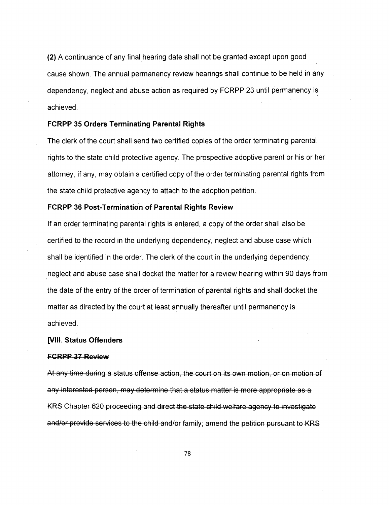(2) A continuance of any final hearing date shall not be granted except upon good cause shown. The annual permanency review hearings shall continue to be held in any dependency, neglect and abuse action as required by FCRPP 23 until permanency is achieved.

### **FCRPP 35 Orders Terminating Parental Rights**

The clerk of the court shall send two certified copies of the order terminating parental rights to the state child protective agency. The prospective adoptive parent or his or her attorney, if any, may obtain a certified copy of the order terminating parental rights from the state child protective agency to attach to the adoption petition.

# **FCRPP 36 Post-Termination of Parental Rights Review**

If an order terminating parental rights is entered, a copy of the order shall also be certified to the record in the underlying dependency, neglect and abuse case which shall be identified in the order. The clerk of the court in the underlying dependency, neglect and abuse case shall docket the matter for a review hearing within 90 days from the date of the entry of the order of termination of parental rights and shall docket the matter as directed by the court at least annually thereafter until permanency is achieved.

### **p1141,-Status-Offenders**

#### **FCRPP 37 Review**

At any time during a status offense action, the court on its own motion, or on motion of any interested person, may determine that a status matter is more appropriate as a KRS Chapter 620 proceeding and direct the state child welfare agency to investigate and/or provide services to the child and/or family; amend the petition pursuant to KRS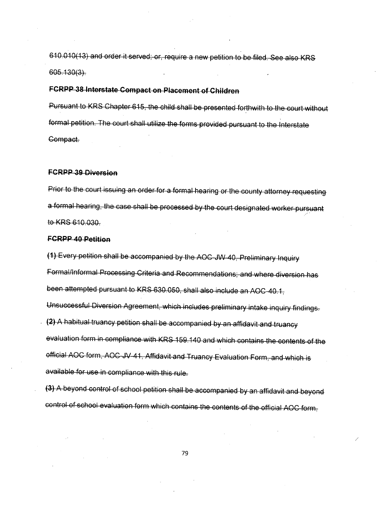610.010(13) and order it served; or, require a new petition to be filed. See also KRS  $605.130(3)$ .

# FCRPP 38 Interstate Compact on Placement of Children

Pursuant to KRS Chapter 615, the child shall be presented forthwith to the court without formal petition. The court shall utilize the forms provided pursuant to the Interstate Gompact.

## **FCRPP-39-Diversion**

Prior to the court issuing an order for a formal hearing or the county attorney requesting a formal hearing, the case shall be processed by the court designated worker pursuant to KRS 610.030.

#### **FCRPP 40 Petition**

(1) Every petition shall be accompanied by the AOC-JW-40, Preliminary Inquiry Formal/Informal Processing Criteria and Recommendations; and where diversion has been attempted pursuant to KRS 630.050, shall also include an AOC-40.1, Unsuccessful Diversion Agreement, which includes preliminary intake inquiry findings. (2) A habitual truancy petition shall be accompanied by an affidavit and truancy evaluation form in compliance with KRS-159.140 and which contains the contents of the AOC form, AOC-JV-41, Affidavit and available for use in compliance with this rule.

(3) A beyond control of school petition shall be accompanied by an affidavit and beyond control of school evaluation form which contains the contents of the official AOC form,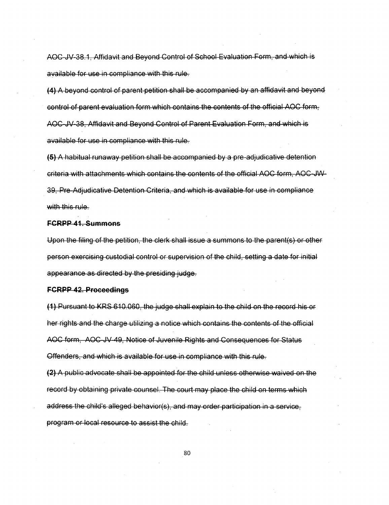AOC-JV-38.1, Affidavit and Beyond Control of School Evaluation Form, and which is available for use in compliance with this rule.

(4) A beyond control of parent petition shall be accompanied by an affidavit and beyond control of parent evaluation form which contains the contents of the official AOC form, AOC-JV-38, Affidavit and Beyond Control of Parent Evaluation Form, and which is available for use in compliance with this rule.

(5) A habitual runaway petition shall be accompanied by a pre-adjudicative detention criteria with attachments which contains the contents of the official AOC form, AOC-JW-39, Pre-Adjudicative Detention Criteria, and which is available for use in compliance with this rule.

#### **FGRPP 41, Summons**

Upon the filing of the petition, the clerk shall issue a summons to the parent(s) or other person exercising custodial control or supervision of the child, setting a date for initial appearance as directed by the presiding judge.

#### **FGRPP 42. Proceedings**

(1) Pursuant to KRS 610.060, the judge shall explain to the child on the record his or her rights and the charge utilizing a notice which contains the contents of the official AOC form, AOC JV 49, Notice of Juvenile Rights and Consequences for Status Offenders, and which is available for use in compliance with this rule.

**(2)** A public advocate shall be appointed for the child unless otherwise waived on the record by obtaining private counsel. The court may place the child on terms which address the child's alleged behavior(s), and may order participation in a service, program or local resource to assist the child.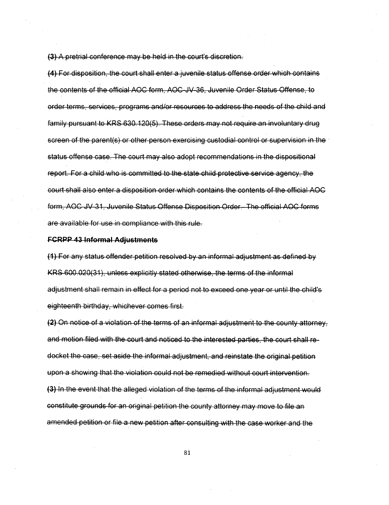(3) A pretrial conference may be held in the court's discretion.

**(4)** For disposition, the court shall enter a juvenile status offense order which contains the contents of the official AOC form, AOC JV 36, Juvenile Order Status-Offence, to order terms, services, programs and/or resources to address the needs of the child and family pursuant to KRS 630.120(5). These orders may not require an involuntary drug screen of the parent(s) or other person exercising custodial control or supervision in the status offense case. The court may also adopt recommendations in the dispositional report. For a child who is committed to the state child protective service agency, the court shall also enter a disposition order which contains the contents of the official AOC form, AOC JV 31, Juvenile Status Offense Disposition Order. The official AOC forms are available for use in compliance with this rule.

#### **FCRPP 43 Informal Adjustments**

(1) For any status offender petition resolved by an informal adjustment as defined by KRS 600.020(31), unless explicitly stated otherwise, the terms of the informal adjustment shall remain in effect for a period not to exceed one year or until the child's eighteenth birthday, whichever comes first.

 $(2)$  On notice of a violation of the terms of an informal adjustment to the county attorney. and motion filed with the court and noticed to the interested parties, the court shall redocket the case, set aside the informal adjustment, and reinstate the original petition upon a showing that the violation could not be remedied without court intervention. (3) In the event that the alleged violation of the terms of the informal adjustment would constitute grounds for an original petition the county attorney may move to file an amended petition or file a new petition after consulting with the case worker and the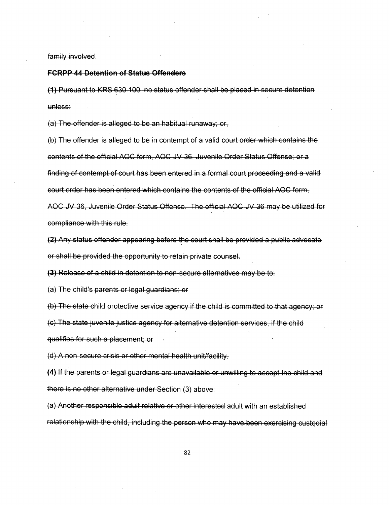family involved.

#### **FCRPP 44 Detention of Status Offenders**

(1) Pursuant to KRS 630.100, no status offender shall be placed in secure detention unless:

(a) The offender is alleged to be an habitual runaway; or,

(b) The offender is alleged to be in contempt of a valid court order which contains the contents of the official AOC form, AOC JV 36, Juvenile Order Status Offense; or a finding of contempt of court has been entered in a formal court proceeding and a valid court order has been entered which contains the contents of the official AOC form, AOC JV 36, Juvenile Order Status Offense. The official AOC JV 36 may be utilized for compliance with this rule.

(2) Any status offender appearing before the court shall be provided a public advocate or shall be provided the opportunity to retain private counsel.

(3) Release of a child in detention to non-secure alternatives may be to:

{a) The child's parents or legal guardians; or

(b) The state child protective service agency if the child is committed to that agency; or

(c) The state juvenile justice agency for alternative detention services, if the child qualifies for such a placement; or

(d) A non-secure crisis or other mental health unit/facility.

(4) If the parents or legal guardians are unavailable or unwilling to accept the child and there is no other alternative under Section (3) above.

 $(a)$  Another responsible adult relative or other interested adult with an established relationship with the child, including the person who may have been exercising custodial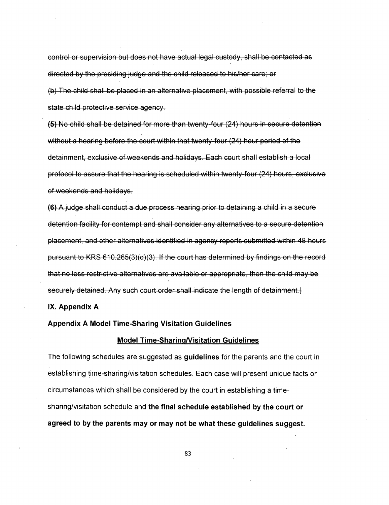control or supervision but does not have actual legal custody, shall be contacted as directed by the presiding judge and the child released to his/her care; or

(b) The child shall be placed in an alternative placement, with possible referral to the state child protective service agency.

(5) No child shall be detained for more than twenty four (24) hours in secure detention without a hearing before the court within that twenty-four (24) hour period of the detainment, exclusive of weekends and holidays. Each court shall establish a local protocol to assure that the hearing is scheduled within twenty-four (24) hours, exclusive of weekends and holidays.

(6) A judge shall conduct adue processhearing prior to detaining achild in a secure detention facility for contempt and shall consider any alternatives to a secure detention placement, and other alternatives identified in agency reports submitted within 48 hours pursuant to KRS 610.265(3)(d)(3). If the court has determined by findings on the record that no less restrictive alternatives are available or appropriate, then the child may be securely detained. Any such court order shall indicate the length of detainment.

**IX. Appendix A** 

**Appendix A Model Time-Sharing Visitation Guidelines** 

#### **Model Time-Sharing/Visitation Guidelines**

The following schedules are suggested as **guidelines** for the parents and the court in establishing time-sharing/visitation schedules. Each case will present unique facts or circumstances which shall be considered by the court in establishing a timesharing/visitation schedule and **the final schedule established by the court or agreed to by the parents may or may not be what these guidelines suggest.**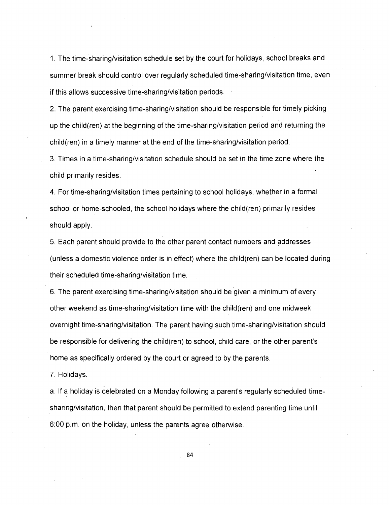1. The time-sharing/visitation schedule set by the court for holidays, school breaks and summer break should control over regularly scheduled time-sharing/visitation time, even if this allows successive time-sharing/visitation periods.

2. The parent exercising time-sharing/visitation should be responsible for timely picking up the child(ren) at the beginning of the time-sharing/visitation period and returning the child(ren) in a timely manner at the end of the time-sharing/visitation period.

3. Times in a time-sharing/visitation schedule should be set in the time zone where the child primarily resides.

4. For time-sharing/visitation times pertaining to school holidays, whether in a formal school or home-schooled, the school holidays where the child(ren) primarily resides should apply.

5. Each parent should provide to the other parent contact numbers and addresses (unless a domestic violence order is in effect) where the child(ren) can be located during their scheduled time-sharing/visitation time.

6. The parent exercising time-sharing/visitation should be given a minimum of every other weekend as time-sharing/visitation time with the child(ren) and one midweek overnight time-sharing/visitation. The parent having such time-sharing/visitation should be responsible for delivering the child(ren) to school, child care, or the other parent's home as specifically ordered by the court or agreed to by the parents.

7. Holidays.

a. If a holiday is celebrated on a Monday following a parent's regularly scheduled timesharing/visitation, then that parent should be permitted to extend parenting time until 6:00 p.m. on the holiday, unless the parents agree otherwise.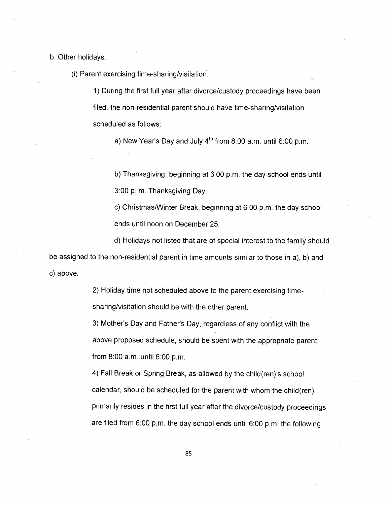b. Other holidays.

(i) Parent exercising time-sharing/visitation.

1) During the first full year after divorce/custody proceedings have been filed, the non-residential parent should have time-sharing/visitation scheduled as follows:

a) New Year's Day and July  $4<sup>th</sup>$  from 8:00 a.m. until 6:00 p.m.

b) Thanksgiving, beginning at 6:00 p.m. the day school ends until 3:00 p. m. Thanksgiving Day.

c) Christmas/Winter Break, beginning at 6:00 p.m. the day school ends until noon on December 25.

d) Holidays not listed that are of special interest to the family should be assigned to the non-residential parent in time amounts similar to those in a), b) and c) above.

> 2) Holiday time not scheduled above to the parent exercising timesharing/visitation should be with the other parent.

3) Mother's Day and Father's Day, regardless of any conflict with the above proposed schedule, should be spent with the appropriate parent from 8:00 a.m. until 6:00 p.m.

4) Fall Break or Spring Break, as allowed by the child(ren)'s school calendar, should be scheduled for the parent with whom the child(ren) primarily resides in the first full year after the divorce/custody proceedings are filed from 6:00 p.m. the day school ends until 6:00 p.m. the following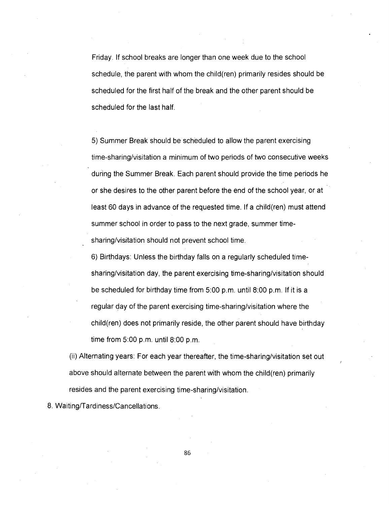Friday. If school breaks are longer than one week due to the school schedule, the parent with whom the child(ren) primarily resides should be scheduled for the first half of the break and the other parent should be scheduled for the last half.

5) Summer Break should be scheduled to allow the parent exercising time-sharing/visitation a minimum of two periods of two consecutive weeks during the Summer Break. Each parent should provide the time periods he or she desires to the other parent before the end of the school year, or at least 60 days in advance of the requested time. If a child(ren) must attend summer school in order to pass to the next grade, summer timesharing/visitation should not prevent school time.

6) Birthdays: Unless the birthday falls on a regularly scheduled timesharing/visitation day, the parent exercising time-sharing/visitation should be scheduled for birthday time from 5:00 p.m. until 8:00 p.m. If it is a regular day of the parent exercising time-sharing/visitation where the child(ren) does not primarily reside, the other parent should have birthday time from 5:00 p.m. until 8:00 p.m.

(ii) Alternating years: For each year thereafter, the time-sharing/visitation set out above should alternate between the parent with whom the child(ren) primarily resides and the parent exercising time-sharing/visitation.

8. Waiting/Tardiness/Cancellations.